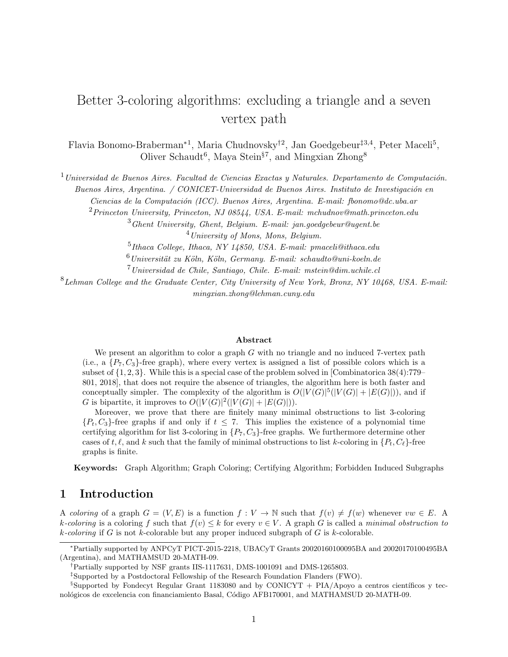# Better 3-coloring algorithms: excluding a triangle and a seven vertex path

Flavia Bonomo-Braberman<sup>∗</sup><sup>1</sup> , Maria Chudnovsky†<sup>2</sup> , Jan Goedgebeur‡3,4, Peter Maceli<sup>5</sup> , Oliver Schaudt<sup>6</sup>, Maya Stein<sup>§7</sup>, and Mingxian Zhong<sup>8</sup>

 $1$ Universidad de Buenos Aires. Facultad de Ciencias Exactas y Naturales. Departamento de Computación.

Buenos Aires, Argentina. / CONICET-Universidad de Buenos Aires. Instituto de Investigación en

Ciencias de la Computación (ICC). Buenos Aires, Argentina. E-mail: fbonomo@dc.uba.ar

 $2$ Princeton University, Princeton, NJ 08544, USA. E-mail: mchudnov@math.princeton.edu

 $3\,G$ hent University, Ghent, Belgium. E-mail: jan.goedgebeur@ugent.be  $\frac{4}{1}$ University of Mons, Mons, Belgium.

 $^5$ Ithaca College, Ithaca, NY 14850, USA. E-mail: pmaceli@ithaca.edu

 $6$ Universität zu Köln, Köln, Germany. E-mail: schaudto@uni-koeln.de

 $7$ Universidad de Chile, Santiago, Chile. E-mail: mstein@dim.uchile.cl

<sup>8</sup>Lehman College and the Graduate Center, City University of New York, Bronx, NY 10468, USA. E-mail: mingxian.zhong@lehman.cuny.edu

#### Abstract

We present an algorithm to color a graph  $G$  with no triangle and no induced 7-vertex path (i.e., a  $\{P_7, C_3\}$ -free graph), where every vertex is assigned a list of possible colors which is a subset of  $\{1, 2, 3\}$ . While this is a special case of the problem solved in [Combinatorica 38(4):779– 801, 2018], that does not require the absence of triangles, the algorithm here is both faster and conceptually simpler. The complexity of the algorithm is  $O(|V(G)|^5(|V(G)|+|E(G)|))$ , and if G is bipartite, it improves to  $O(|V(G)|^2(|V(G)|+|E(G)|)).$ 

Moreover, we prove that there are finitely many minimal obstructions to list 3-coloring  ${P_t, C_3}$ -free graphs if and only if  $t \leq 7$ . This implies the existence of a polynomial time certifying algorithm for list 3-coloring in  $\{P_7, C_3\}$ -free graphs. We furthermore determine other cases of t,  $\ell$ , and k such that the family of minimal obstructions to list k-coloring in  $\{P_t, C_\ell\}$ -free graphs is finite.

Keywords: Graph Algorithm; Graph Coloring; Certifying Algorithm; Forbidden Induced Subgraphs

# 1 Introduction

A coloring of a graph  $G = (V, E)$  is a function  $f: V \to \mathbb{N}$  such that  $f(v) \neq f(w)$  whenever  $vw \in E$ . A k-coloring is a coloring f such that  $f(v) \leq k$  for every  $v \in V$ . A graph G is called a minimal obstruction to  $k$ -coloring if G is not k-colorable but any proper induced subgraph of G is k-colorable.

<sup>∗</sup>Partially supported by ANPCyT PICT-2015-2218, UBACyT Grants 20020160100095BA and 20020170100495BA (Argentina), and MATHAMSUD 20-MATH-09.

<sup>†</sup>Partially supported by NSF grants IIS-1117631, DMS-1001091 and DMS-1265803.

<sup>‡</sup>Supported by a Postdoctoral Fellowship of the Research Foundation Flanders (FWO).

 $\S$ Supported by Fondecyt Regular Grant 1183080 and by CONICYT + PIA/Apoyo a centros científicos y tecnológicos de excelencia con financiamiento Basal, Código AFB170001, and MATHAMSUD 20-MATH-09.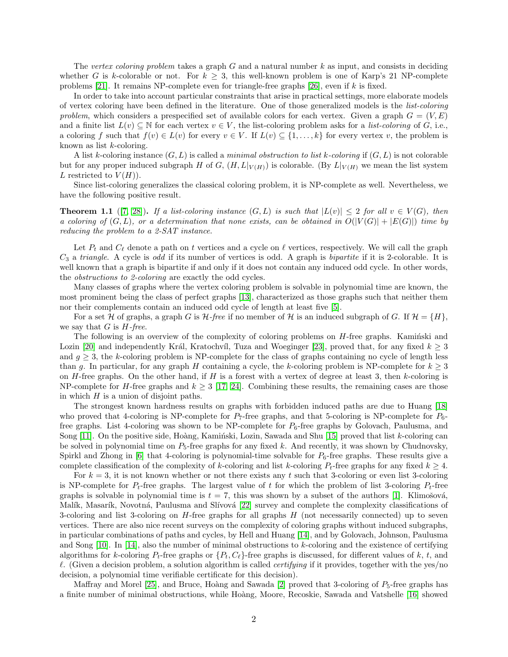The vertex coloring problem takes a graph  $G$  and a natural number  $k$  as input, and consists in deciding whether G is k-colorable or not. For  $k \geq 3$ , this well-known problem is one of Karp's 21 NP-complete problems [\[21\]](#page-19-0). It remains NP-complete even for triangle-free graphs [\[26\]](#page-19-1), even if  $k$  is fixed.

In order to take into account particular constraints that arise in practical settings, more elaborate models of vertex coloring have been defined in the literature. One of those generalized models is the list-coloring problem, which considers a prespecified set of available colors for each vertex. Given a graph  $G = (V, E)$ and a finite list  $L(v) \subseteq \mathbb{N}$  for each vertex  $v \in V$ , the list-coloring problem asks for a *list-coloring* of G, i.e., a coloring f such that  $f(v) \in L(v)$  for every  $v \in V$ . If  $L(v) \subseteq \{1, \ldots, k\}$  for every vertex v, the problem is known as list k-coloring.

A list k-coloring instance  $(G, L)$  is called a minimal obstruction to list k-coloring if  $(G, L)$  is not colorable but for any proper induced subgraph H of G,  $(H, L|_{V(H)})$  is colorable. (By  $L|_{V(H)}$  we mean the list system L restricted to  $V(H)$ ).

Since list-coloring generalizes the classical coloring problem, it is NP-complete as well. Nevertheless, we have the following positive result.

<span id="page-1-0"></span>**Theorem 1.1** ([\[7,](#page-18-0) [28\]](#page-19-2)). If a list-coloring instance  $(G, L)$  is such that  $|L(v)| \leq 2$  for all  $v \in V(G)$ , then a coloring of  $(G, L)$ , or a determination that none exists, can be obtained in  $O(|V(G)| + |E(G)|)$  time by reducing the problem to a 2-SAT instance.

Let  $P_t$  and  $C_\ell$  denote a path on t vertices and a cycle on  $\ell$  vertices, respectively. We will call the graph  $C_3$  a triangle. A cycle is odd if its number of vertices is odd. A graph is *bipartite* if it is 2-colorable. It is well known that a graph is bipartite if and only if it does not contain any induced odd cycle. In other words, the obstructions to 2-coloring are exactly the odd cycles.

Many classes of graphs where the vertex coloring problem is solvable in polynomial time are known, the most prominent being the class of perfect graphs [\[13\]](#page-18-1), characterized as those graphs such that neither them nor their complements contain an induced odd cycle of length at least five [\[5\]](#page-18-2).

For a set H of graphs, a graph G is H-free if no member of H is an induced subgraph of G. If  $\mathcal{H} = \{H\}$ , we say that  $G$  is  $H$ -free.

The following is an overview of the complexity of coloring problems on  $H$ -free graphs. Kaminski and Lozin [\[20\]](#page-19-3) and independently Král, Kratochvíl, Tuza and Woeginger [\[23\]](#page-19-4), proved that, for any fixed  $k \geq 3$ and  $q \geq 3$ , the k-coloring problem is NP-complete for the class of graphs containing no cycle of length less than g. In particular, for any graph H containing a cycle, the k-coloring problem is NP-complete for  $k \geq 3$ on H-free graphs. On the other hand, if H is a forest with a vertex of degree at least 3, then k-coloring is NP-complete for H-free graphs and  $k \geq 3$  [\[17,](#page-19-5) [24\]](#page-19-6). Combining these results, the remaining cases are those in which  $H$  is a union of disjoint paths.

The strongest known hardness results on graphs with forbidden induced paths are due to Huang [\[18\]](#page-19-7) who proved that 4-coloring is NP-complete for  $P_7$ -free graphs, and that 5-coloring is NP-complete for  $P_6$ free graphs. List 4-coloring was shown to be NP-complete for  $P_6$ -free graphs by Golovach, Paulusma, and Song [\[11\]](#page-18-3). On the positive side, Hoàng, Kaminski, Lozin, Sawada and Shu [\[15\]](#page-18-4) proved that list k-coloring can be solved in polynomial time on  $P_5$ -free graphs for any fixed k. And recently, it was shown by Chudnovsky, Spirkl and Zhong in  $[6]$  that 4-coloring is polynomial-time solvable for  $P_6$ -free graphs. These results give a complete classification of the complexity of k-coloring and list k-coloring  $P_t$ -free graphs for any fixed  $k \geq 4$ .

For  $k = 3$ , it is not known whether or not there exists any t such that 3-coloring or even list 3-coloring is NP-complete for  $P_t$ -free graphs. The largest value of t for which the problem of list 3-coloring  $P_t$ -free graphs is solvable in polynomial time is  $t = 7$ , this was shown by a subset of the authors [\[1\]](#page-18-6). Klimošová, Malík, Masarík, Novotná, Paulusma and Slívová [\[22\]](#page-19-8) survey and complete the complexity classifications of 3-coloring and list 3-coloring on  $H$ -free graphs for all graphs  $H$  (not necessarily connected) up to seven vertices. There are also nice recent surveys on the complexity of coloring graphs without induced subgraphs, in particular combinations of paths and cycles, by Hell and Huang [\[14\]](#page-18-7), and by Golovach, Johnson, Paulusma and Song [\[10\]](#page-18-8). In [\[14\]](#page-18-7), also the number of minimal obstructions to k-coloring and the existence of certifying algorithms for k-coloring  $P_t$ -free graphs or  $\{P_t, C_\ell\}$ -free graphs is discussed, for different values of k, t, and  $\ell$ . (Given a decision problem, a solution algorithm is called *certifying* if it provides, together with the yes/no decision, a polynomial time verifiable certificate for this decision).

Maffray and Morel [\[25\]](#page-19-9), and Bruce, Hoàng and Sawada [\[2\]](#page-18-9) proved that 3-coloring of  $P_5$ -free graphs has a finite number of minimal obstructions, while Hoàng, Moore, Recoskie, Sawada and Vatshelle [\[16\]](#page-18-10) showed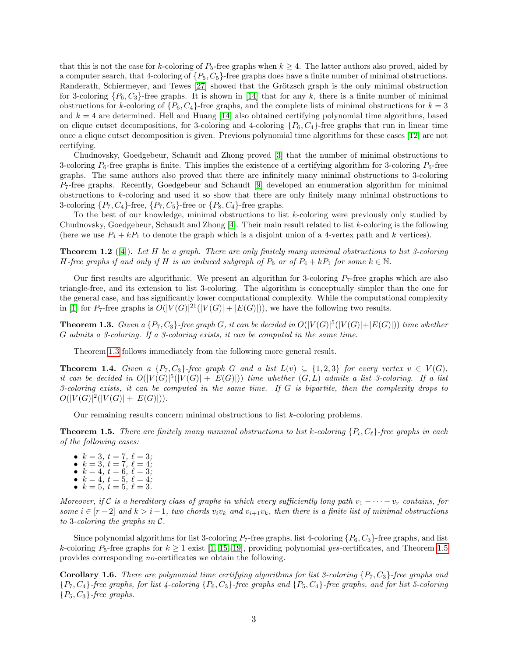that this is not the case for k-coloring of  $P_5$ -free graphs when  $k \geq 4$ . The latter authors also proved, aided by a computer search, that 4-coloring of  $\{P_5, C_5\}$ -free graphs does have a finite number of minimal obstructions. Randerath, Schiermeyer, and Tewes [\[27\]](#page-19-10) showed that the Grötzsch graph is the only minimal obstruction for 3-coloring  $\{P_6, C_3\}$ -free graphs. It is shown in [\[14\]](#page-18-7) that for any k, there is a finite number of minimal obstructions for k-coloring of  $\{P_6, C_4\}$ -free graphs, and the complete lists of minimal obstructions for  $k = 3$ and  $k = 4$  are determined. Hell and Huang [\[14\]](#page-18-7) also obtained certifying polynomial time algorithms, based on clique cutset decompositions, for 3-coloring and 4-coloring  $\{P_6, C_4\}$ -free graphs that run in linear time once a clique cutset decomposition is given. Previous polynomial time algorithms for these cases [\[12\]](#page-18-11) are not certifying.

Chudnovsky, Goedgebeur, Schaudt and Zhong proved [\[3\]](#page-18-12) that the number of minimal obstructions to 3-coloring  $P_6$ -free graphs is finite. This implies the existence of a certifying algorithm for 3-coloring  $P_6$ -free graphs. The same authors also proved that there are infinitely many minimal obstructions to 3-coloring  $P_7$ -free graphs. Recently, Goedgebeur and Schaudt [\[9\]](#page-18-13) developed an enumeration algorithm for minimal obstructions to k-coloring and used it so show that there are only finitely many minimal obstructions to 3-coloring  $\{P_7, C_4\}$ -free,  $\{P_7, C_5\}$ -free or  $\{P_8, C_4\}$ -free graphs.

To the best of our knowledge, minimal obstructions to list k-coloring were previously only studied by Chudnovsky, Goedgebeur, Schaudt and Zhong [\[4\]](#page-18-14). Their main result related to list k-coloring is the following (here we use  $P_4 + kP_1$  to denote the graph which is a disjoint union of a 4-vertex path and k vertices).

**Theorem 1.2** ([\[4\]](#page-18-14)). Let H be a graph. There are only finitely many minimal obstructions to list 3-coloring H-free graphs if and only if H is an induced subgraph of  $P_6$  or of  $P_4 + kP_1$  for some  $k \in \mathbb{N}$ .

Our first results are algorithmic. We present an algorithm for 3-coloring  $P<sub>7</sub>$ -free graphs which are also triangle-free, and its extension to list 3-coloring. The algorithm is conceptually simpler than the one for the general case, and has significantly lower computational complexity. While the computational complexity in [\[1\]](#page-18-6) for P<sub>7</sub>-free graphs is  $O(|V(G)|^2 |(|V(G)| + |E(G)|))$ , we have the following two results.

<span id="page-2-0"></span>**Theorem 1.3.** Given a  $\{P_7, C_3\}$ -free graph G, it can be decided in  $O(|V(G)|^5(|V(G)|+|E(G)|))$  time whether G admits a 3-coloring. If a 3-coloring exists, it can be computed in the same time.

Theorem [1.3](#page-2-0) follows immediately from the following more general result.

<span id="page-2-3"></span>**Theorem 1.4.** Given a  $\{P_7, C_3\}$ -free graph G and a list  $L(v) \subseteq \{1, 2, 3\}$  for every vertex  $v \in V(G)$ , it can be decided in  $O(|V(G)|^5(|V(G)|+|E(G)|))$  time whether  $(G, L)$  admits a list 3-coloring. If a list 3-coloring exists, it can be computed in the same time. If  $G$  is bipartite, then the complexity drops to  $O(|V(G)|^2(|V(G)|+|E(G)|)).$ 

Our remaining results concern minimal obstructions to list k-coloring problems.

<span id="page-2-1"></span>**Theorem 1.5.** There are finitely many minimal obstructions to list k-coloring  $\{P_t, C_\ell\}$ -free graphs in each of the following cases:

•  $k = 3, t = 7, \ell = 3;$ •  $k = 3, t = 7, \ell = 4;$ •  $k = 4, t = 6, \ell = 3;$ •  $k = 4, t = 5, \ell = 4;$ •  $k = 5, t = 5, \ell = 3.$ 

Moreover, if C is a hereditary class of graphs in which every sufficiently long path  $v_1 - \cdots - v_r$  contains, for some  $i \in [r-2]$  and  $k > i+1$ , two chords  $v_i v_k$  and  $v_{i+1}v_k$ , then there is a finite list of minimal obstructions to 3-coloring the graphs in C.

Since polynomial algorithms for list 3-coloring  $P_7$ -free graphs, list 4-coloring  $\{P_6, C_3\}$ -free graphs, and list k-coloring  $P_5$ -free graphs for  $k \ge 1$  exist [\[1,](#page-18-6) [15,](#page-18-4) [19\]](#page-19-11), providing polynomial yes-certificates, and Theorem [1.5](#page-2-1) provides corresponding no-certificates we obtain the following.

<span id="page-2-2"></span>**Corollary 1.6.** There are polynomial time certifying algorithms for list 3-coloring  $\{P_7, C_3\}$ -free graphs and  ${P_7, C_4}$ -free graphs, for list 4-coloring  ${P_6, C_3}$ -free graphs and  ${P_5, C_4}$ -free graphs, and for list 5-coloring  ${P_5, C_3}$ -free graphs.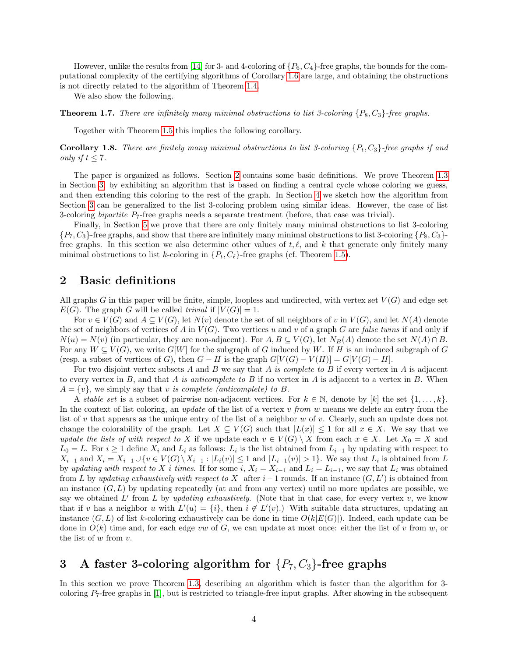However, unlike the results from [\[14\]](#page-18-7) for 3- and 4-coloring of  $\{P_6, C_4\}$ -free graphs, the bounds for the computational complexity of the certifying algorithms of Corollary [1.6](#page-2-2) are large, and obtaining the obstructions is not directly related to the algorithm of Theorem [1.4.](#page-2-3)

We also show the following.

<span id="page-3-2"></span>**Theorem 1.7.** There are infinitely many minimal obstructions to list 3-coloring  $\{P_8, C_3\}$ -free graphs.

Together with Theorem [1.5](#page-2-1) this implies the following corollary.

**Corollary 1.8.** There are finitely many minimal obstructions to list 3-coloring  $\{P_t, C_3\}$ -free graphs if and only if  $t \leq 7$ .

The paper is organized as follows. Section [2](#page-3-0) contains some basic definitions. We prove Theorem [1.3](#page-2-0) in Section [3,](#page-3-1) by exhibiting an algorithm that is based on finding a central cycle whose coloring we guess, and then extending this coloring to the rest of the graph. In Section [4](#page-9-0) we sketch how the algorithm from Section [3](#page-3-1) can be generalized to the list 3-coloring problem using similar ideas. However, the case of list 3-coloring bipartite P7-free graphs needs a separate treatment (before, that case was trivial).

Finally, in Section [5](#page-13-0) we prove that there are only finitely many minimal obstructions to list 3-coloring  ${P_7, C_3}$ -free graphs, and show that there are infinitely many minimal obstructions to list 3-coloring  ${P_8, C_3}$ . free graphs. In this section we also determine other values of  $t, \ell$ , and k that generate only finitely many minimal obstructions to list k-coloring in  $\{P_t, C_\ell\}$ -free graphs (cf. Theorem [1.5\)](#page-2-1).

### <span id="page-3-0"></span>2 Basic definitions

All graphs G in this paper will be finite, simple, loopless and undirected, with vertex set  $V(G)$  and edge set  $E(G)$ . The graph G will be called *trivial* if  $|V(G)| = 1$ .

For  $v \in V(G)$  and  $A \subseteq V(G)$ , let  $N(v)$  denote the set of all neighbors of v in  $V(G)$ , and let  $N(A)$  denote the set of neighbors of vertices of A in  $V(G)$ . Two vertices u and v of a graph G are false twins if and only if  $N(u) = N(v)$  (in particular, they are non-adjacent). For  $A, B \subseteq V(G)$ , let  $N_B(A)$  denote the set  $N(A) \cap B$ . For any  $W \subseteq V(G)$ , we write  $G[W]$  for the subgraph of G induced by W. If H is an induced subgraph of G (resp. a subset of vertices of G), then  $G - H$  is the graph  $G[V(G) - V(H)] = G[V(G) - H]$ .

For two disjoint vertex subsets  $A$  and  $B$  we say that  $A$  is complete to  $B$  if every vertex in  $A$  is adjacent to every vertex in  $B$ , and that  $A$  is anticomplete to  $B$  if no vertex in  $A$  is adjacent to a vertex in  $B$ . When  $A = \{v\}$ , we simply say that v is complete (anticomplete) to B.

A stable set is a subset of pairwise non-adjacent vertices. For  $k \in \mathbb{N}$ , denote by [k] the set  $\{1, \ldots, k\}$ . In the context of list coloring, an update of the list of a vertex v from w means we delete an entry from the list of v that appears as the unique entry of the list of a neighbor w of v. Clearly, such an update does not change the colorability of the graph. Let  $X \subseteq V(G)$  such that  $|L(x)| \leq 1$  for all  $x \in X$ . We say that we update the lists of with respect to X if we update each  $v \in V(G) \setminus X$  from each  $x \in X$ . Let  $X_0 = X$  and  $L_0 = L$ . For  $i \geq 1$  define  $X_i$  and  $L_i$  as follows:  $L_i$  is the list obtained from  $L_{i-1}$  by updating with respect to  $X_{i-1}$  and  $X_i = X_{i-1} \cup \{v \in V(G) \setminus X_{i-1} : |L_i(v)| \leq 1 \text{ and } |L_{i-1}(v)| > 1\}.$  We say that  $L_i$  is obtained from L by updating with respect to X i times. If for some i,  $X_i = X_{i-1}$  and  $L_i = L_{i-1}$ , we say that  $L_i$  was obtained from L by updating exhaustively with respect to X after i – 1 rounds. If an instance  $(G, L')$  is obtained from an instance  $(G, L)$  by updating repeatedly (at and from any vertex) until no more updates are possible, we say we obtained  $L'$  from  $L$  by updating exhaustively. (Note that in that case, for every vertex  $v$ , we know that if v has a neighbor u with  $L'(u) = \{i\}$ , then  $i \notin L'(v)$ .) With suitable data structures, updating an instance  $(G, L)$  of list k-coloring exhaustively can be done in time  $O(k|E(G)|)$ . Indeed, each update can be done in  $O(k)$  time and, for each edge vw of G, we can update at most once: either the list of v from w, or the list of  $w$  from  $v$ .

# <span id="page-3-1"></span>3 A faster 3-coloring algorithm for  $\{P_7, C_3\}$ -free graphs

In this section we prove Theorem [1.3,](#page-2-0) describing an algorithm which is faster than the algorithm for 3 coloring P7-free graphs in [\[1\]](#page-18-6), but is restricted to triangle-free input graphs. After showing in the subsequent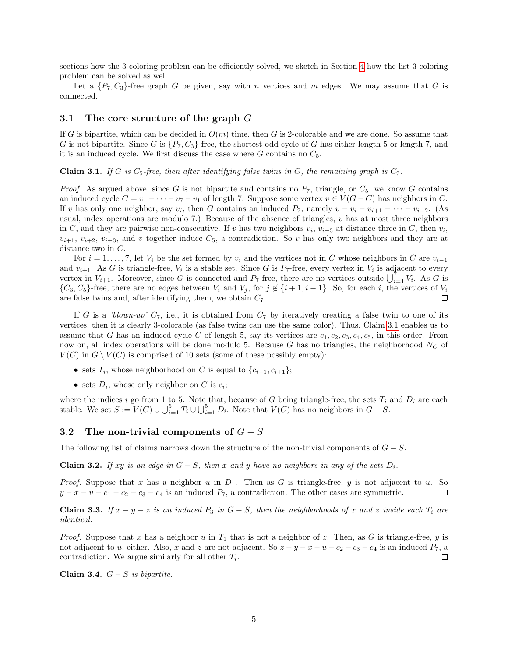sections how the 3-coloring problem can be efficiently solved, we sketch in Section [4](#page-9-0) how the list 3-coloring problem can be solved as well.

Let a  $\{P_7, C_3\}$ -free graph G be given, say with n vertices and m edges. We may assume that G is connected.

### <span id="page-4-2"></span>3.1 The core structure of the graph  $G$

If G is bipartite, which can be decided in  $O(m)$  time, then G is 2-colorable and we are done. So assume that G is not bipartite. Since G is  $\{P_7, C_3\}$ -free, the shortest odd cycle of G has either length 5 or length 7, and it is an induced cycle. We first discuss the case where  $G$  contains no  $C_5$ .

<span id="page-4-0"></span>**Claim 3.1.** If G is  $C_5$ -free, then after identifying false twins in G, the remaining graph is  $C_7$ .

*Proof.* As argued above, since G is not bipartite and contains no  $P_7$ , triangle, or  $C_5$ , we know G contains an induced cycle  $C = v_1 - \cdots - v_7 - v_1$  of length 7. Suppose some vertex  $v \in V(G-C)$  has neighbors in C. If v has only one neighbor, say  $v_i$ , then G contains an induced  $P_7$ , namely  $v - v_i - v_{i+1} - \cdots - v_{i-2}$ . (As usual, index operations are modulo 7.) Because of the absence of triangles,  $v$  has at most three neighbors in C, and they are pairwise non-consecutive. If v has two neighbors  $v_i$ ,  $v_{i+3}$  at distance three in C, then  $v_i$ ,  $v_{i+1}, v_{i+2}, v_{i+3}$ , and v together induce  $C_5$ , a contradiction. So v has only two neighbors and they are at distance two in  $C$ .

For  $i = 1, \ldots, 7$ , let  $V_i$  be the set formed by  $v_i$  and the vertices not in C whose neighbors in C are  $v_{i-1}$ and  $v_{i+1}$ . As G is triangle-free,  $V_i$  is a stable set. Since G is  $P_7$ -free, every vertex in  $V_i$  is adjacent to every vertex in  $V_{i+1}$ . Moreover, since G is connected and P<sub>7</sub>-free, there are no vertices outside  $\bigcup_{i=1}^{7} V_i$ . As G is  $\{C_3, C_5\}$ -free, there are no edges between  $V_i$  and  $V_j$ , for  $j \notin \{i+1, i-1\}$ . So, for each i, the vertices of  $V_i$ are false twins and, after identifying them, we obtain  $C_7$ .  $\Box$ 

If G is a 'blown-up'  $C_7$ , i.e., it is obtained from  $C_7$  by iteratively creating a false twin to one of its vertices, then it is clearly 3-colorable (as false twins can use the same color). Thus, Claim [3.1](#page-4-0) enables us to assume that G has an induced cycle C of length 5, say its vertices are  $c_1, c_2, c_3, c_4, c_5$ , in this order. From now on, all index operations will be done modulo 5. Because G has no triangles, the neighborhood  $N_c$  of  $V(C)$  in  $G \setminus V(C)$  is comprised of 10 sets (some of these possibly empty):

- sets  $T_i$ , whose neighborhood on C is equal to  $\{c_{i-1}, c_{i+1}\};$
- sets  $D_i$ , whose only neighbor on C is  $c_i$ ;

where the indices i go from 1 to 5. Note that, because of G being triangle-free, the sets  $T_i$  and  $D_i$  are each stable. We set  $S := V(C) \cup \bigcup_{i=1}^{5} T_i \cup \bigcup_{i=1}^{5} D_i$ . Note that  $V(C)$  has no neighbors in  $G - S$ .

## <span id="page-4-1"></span>3.2 The non-trivial components of  $G - S$

The following list of claims narrows down the structure of the non-trivial components of  $G - S$ .

<span id="page-4-3"></span>Claim 3.2. If xy is an edge in  $G - S$ , then x and y have no neighbors in any of the sets  $D_i$ .

*Proof.* Suppose that x has a neighbor u in  $D_1$ . Then as G is triangle-free, y is not adjacent to u. So  $y - x - u - c_1 - c_2 - c_3 - c_4$  is an induced  $P_7$ , a contradiction. The other cases are symmetric.  $\Box$ 

**Claim 3.3.** If  $x - y - z$  is an induced  $P_3$  in  $G - S$ , then the neighborhoods of x and z inside each  $T_i$  are identical.

*Proof.* Suppose that x has a neighbor u in  $T_1$  that is not a neighbor of z. Then, as G is triangle-free, y is not adjacent to u, either. Also, x and z are not adjacent. So  $z - y - x - u - c_2 - c_3 - c_4$  is an induced  $P_7$ , a contradiction. We argue similarly for all other  $T_i$ .  $\Box$ 

Claim 3.4.  $G-S$  is bipartite.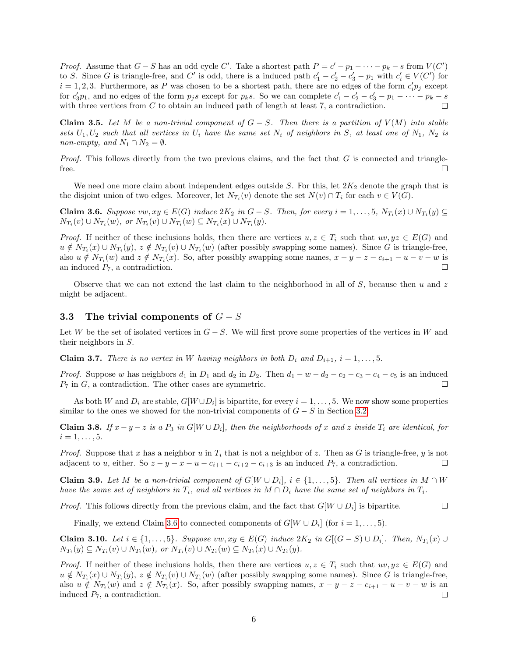*Proof.* Assume that  $G-S$  has an odd cycle C'. Take a shortest path  $P = c' - p_1 - \cdots - p_k - s$  from  $V(C')$ to S. Since G is triangle-free, and C' is odd, there is a induced path  $c'_1 - c'_2 - c'_3 - p_1$  with  $c'_i \in V(C')$  for  $i = 1, 2, 3$ . Furthermore, as P was chosen to be a shortest path, there are no edges of the form  $c'_i p_j$  except for  $c'_3p_1$ , and no edges of the form  $p_js$  except for  $p_ks$ . So we can complete  $c'_1-c'_2-c'_3-p_1-\cdots-p_k-s$ with three vertices from  $C$  to obtain an induced path of length at least  $7$ , a contradiction.  $\Box$ 

<span id="page-5-1"></span>Claim 3.5. Let M be a non-trivial component of  $G-S$ . Then there is a partition of  $V(M)$  into stable sets  $U_1, U_2$  such that all vertices in  $U_i$  have the same set  $N_i$  of neighbors in S, at least one of  $N_1$ ,  $N_2$  is non-empty, and  $N_1 \cap N_2 = \emptyset$ .

*Proof.* This follows directly from the two previous claims, and the fact that  $G$  is connected and trianglefree.  $\Box$ 

We need one more claim about independent edges outside S. For this, let  $2K_2$  denote the graph that is the disjoint union of two edges. Moreover, let  $N_{T_i}(v)$  denote the set  $N(v) \cap T_i$  for each  $v \in V(G)$ .

<span id="page-5-0"></span>**Claim 3.6.** Suppose  $vw, xy \in E(G)$  induce  $2K_2$  in  $G-S$ . Then, for every  $i = 1, ..., 5$ ,  $N_{T_i}(x) \cup N_{T_i}(y) \subseteq$  $N_{T_i}(v) \cup N_{T_i}(w)$ , or  $N_{T_i}(v) \cup N_{T_i}(w) \subseteq N_{T_i}(x) \cup N_{T_i}(y)$ .

*Proof.* If neither of these inclusions holds, then there are vertices  $u, z \in T_i$  such that  $uv, yz \in E(G)$  and  $u \notin N_{T_i}(x) \cup N_{T_i}(y), z \notin N_{T_i}(v) \cup N_{T_i}(w)$  (after possibly swapping some names). Since G is triangle-free, also  $u \notin N_{T_i}(w)$  and  $z \notin N_{T_i}(x)$ . So, after possibly swapping some names,  $x - y - z - c_{i+1} - u - v - w$  is an induced  $P_7$ , a contradiction.  $\Box$ 

Observe that we can not extend the last claim to the neighborhood in all of  $S$ , because then u and z might be adjacent.

### 3.3 The trivial components of  $G-S$

Let W be the set of isolated vertices in  $G - S$ . We will first prove some properties of the vertices in W and their neighbors in S.

**Claim 3.7.** There is no vertex in W having neighbors in both  $D_i$  and  $D_{i+1}$ ,  $i = 1, \ldots, 5$ .

*Proof.* Suppose w has neighbors  $d_1$  in  $D_1$  and  $d_2$  in  $D_2$ . Then  $d_1 - w - d_2 - c_2 - c_3 - c_4 - c_5$  is an induced  $P_7$  in  $G$ , a contradiction. The other cases are symmetric.  $\Box$ 

As both W and  $D_i$  are stable,  $G[W \cup D_i]$  is bipartite, for every  $i = 1, \ldots, 5$ . We now show some properties similar to the ones we showed for the non-trivial components of  $G - S$  in Section [3.2.](#page-4-1)

**Claim 3.8.** If  $x - y - z$  is a  $P_3$  in  $G[W \cup D_i]$ , then the neighborhoods of x and z inside  $T_i$  are identical, for  $i = 1, \ldots, 5$ .

*Proof.* Suppose that x has a neighbor u in  $T_i$  that is not a neighbor of z. Then as G is triangle-free, y is not adjacent to u, either. So  $z - y - x - u - c_{i+1} - c_{i+2} - c_{i+3}$  is an induced  $P_7$ , a contradiction.  $\Box$ 

<span id="page-5-2"></span>**Claim 3.9.** Let M be a non-trivial component of  $G[W \cup D_i]$ ,  $i \in \{1, ..., 5\}$ . Then all vertices in  $M \cap W$ have the same set of neighbors in  $T_i$ , and all vertices in  $M \cap D_i$  have the same set of neighbors in  $T_i$ .

*Proof.* This follows directly from the previous claim, and the fact that  $G[W \cup D_i]$  is bipartite.  $\Box$ 

Finally, we extend Claim [3.6](#page-5-0) to connected components of  $G[W \cup D_i]$  (for  $i = 1, \ldots, 5$ ).

<span id="page-5-3"></span>**Claim 3.10.** Let  $i \in \{1, \ldots, 5\}$ . Suppose  $vw, xy \in E(G)$  induce  $2K_2$  in  $G[(G-S) \cup D_i]$ . Then,  $N_{T_i}(x) \cup$  $N_{T_i}(y) \subseteq N_{T_i}(v) \cup N_{T_i}(w)$ , or  $N_{T_i}(v) \cup N_{T_i}(w) \subseteq N_{T_i}(x) \cup N_{T_i}(y)$ .

*Proof.* If neither of these inclusions holds, then there are vertices  $u, z \in T_i$  such that  $uv, yz \in E(G)$  and  $u \notin N_{T_i}(x) \cup N_{T_i}(y), z \notin N_{T_i}(v) \cup N_{T_i}(w)$  (after possibly swapping some names). Since G is triangle-free, also  $u \notin N_{T_i}(w)$  and  $z \notin N_{T_i}(x)$ . So, after possibly swapping names,  $x - y - z - c_{i+1} - u - v - w$  is an induced  $P_7$ , a contradiction.  $\Box$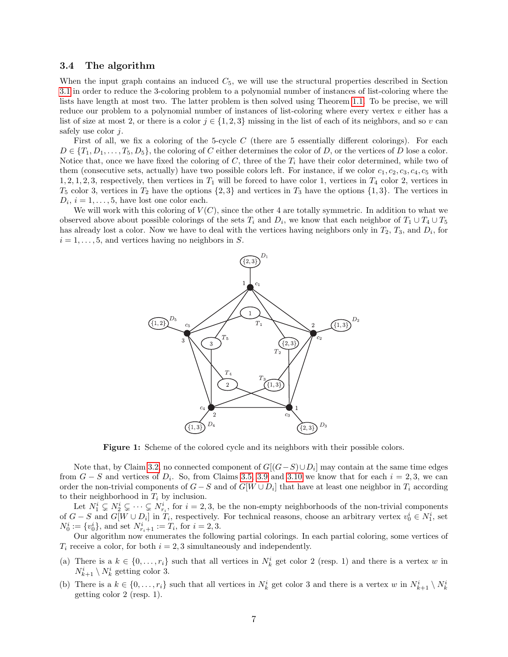### <span id="page-6-1"></span>3.4 The algorithm

When the input graph contains an induced  $C_5$ , we will use the structural properties described in Section [3.1](#page-4-2) in order to reduce the 3-coloring problem to a polynomial number of instances of list-coloring where the lists have length at most two. The latter problem is then solved using Theorem [1.1.](#page-1-0) To be precise, we will reduce our problem to a polynomial number of instances of list-coloring where every vertex  $v$  either has a list of size at most 2, or there is a color  $j \in \{1, 2, 3\}$  missing in the list of each of its neighbors, and so v can safely use color  $i$ .

First of all, we fix a coloring of the 5-cycle C (there are 5 essentially different colorings). For each  $D \in \{T_1, D_1, \ldots, T_5, D_5\}$ , the coloring of C either determines the color of D, or the vertices of D lose a color. Notice that, once we have fixed the coloring of  $C$ , three of the  $T_i$  have their color determined, while two of them (consecutive sets, actually) have two possible colors left. For instance, if we color  $c_1, c_2, c_3, c_4, c_5$  with 1, 2, 1, 2, 3, respectively, then vertices in  $T_1$  will be forced to have color 1, vertices in  $T_4$  color 2, vertices in  $T_5$  color 3, vertices in  $T_2$  have the options  $\{2,3\}$  and vertices in  $T_3$  have the options  $\{1,3\}$ . The vertices in  $D_i$ ,  $i = 1, \ldots, 5$ , have lost one color each.

<span id="page-6-0"></span>We will work with this coloring of  $V(C)$ , since the other 4 are totally symmetric. In addition to what we observed above about possible colorings of the sets  $T_i$  and  $D_i$ , we know that each neighbor of  $T_1 \cup T_4 \cup T_5$ has already lost a color. Now we have to deal with the vertices having neighbors only in  $T_2$ ,  $T_3$ , and  $D_i$ , for  $i = 1, \ldots, 5$ , and vertices having no neighbors in S.



Figure 1: Scheme of the colored cycle and its neighbors with their possible colors.

Note that, by Claim [3.2,](#page-4-3) no connected component of  $G[(G-S) \cup D_i]$  may contain at the same time edges from  $G - S$  and vertices of  $D_i$ . So, from Claims [3.5,](#page-5-1) [3.9](#page-5-2) and [3.10](#page-5-3) we know that for each  $i = 2, 3$ , we can order the non-trivial components of  $G - S$  and of  $G[W \cup D_i]$  that have at least one neighbor in  $T_i$  according to their neighborhood in  $T_i$  by inclusion.

Let  $N_1^i \subsetneq N_2^i \subsetneq \cdots \subsetneq N_{r_i}^i$ , for  $i = 2, 3$ , be the non-empty neighborhoods of the non-trivial components of  $G-S$  and  $G[W\cup D_i]$  in  $T_i$ , respectively. For technical reasons, choose an arbitrary vertex  $v_0^i \in N_1^i$ , set  $N_0^i := \{v_0^i\}$ , and set  $N_{r_i+1}^i := T_i$ , for  $i = 2, 3$ .

Our algorithm now enumerates the following partial colorings. In each partial coloring, some vertices of  $T_i$  receive a color, for both  $i = 2, 3$  simultaneously and independently.

- (a) There is a  $k \in \{0, \ldots, r_i\}$  such that all vertices in  $N_k^i$  get color 2 (resp. 1) and there is a vertex w in  $N_{k+1}^i \setminus N_k^i$  getting color 3.
- (b) There is a  $k \in \{0, \ldots, r_i\}$  such that all vertices in  $N_k^i$  get color 3 and there is a vertex w in  $N_{k+1}^i \setminus N_k^i$ getting color 2 (resp. 1).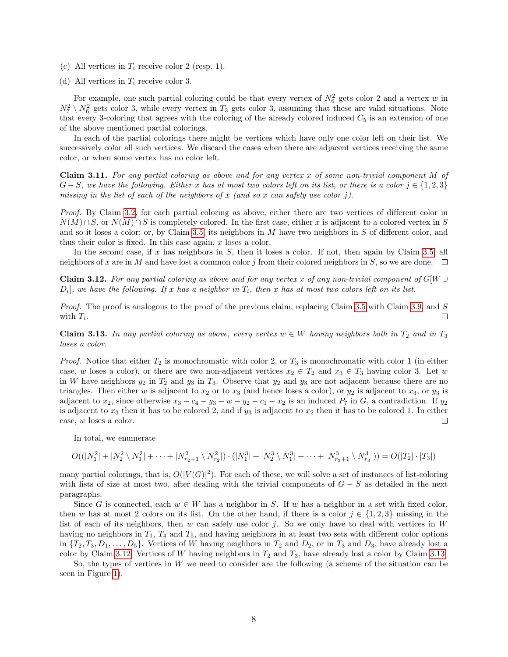- (c) All vertices in  $T_i$  receive color 2 (resp. 1).
- (d) All vertices in  $T_i$  receive color 3.

For example, one such partial coloring could be that every vertex of  $N_6^2$  gets color 2 and a vertex w in  $N_7^2 \setminus N_6^2$  gets color 3, while every vertex in  $T_3$  gets color 3, assuming that these are valid situations. Note that every 3-coloring that agrees with the coloring of the already colored induced  $C_5$  is an extension of one of the above mentioned partial colorings.

In each of the partial colorings there might be vertices which have only one color left on their list. We successively color all such vertices. We discard the cases when there are adjacent vertices receiving the same color, or when some vertex has no color left.

Claim 3.11. For any partial coloring as above and for any vertex  $x$  of some non-trivial component  $M$  of  $G-S$ , we have the following. Either x has at most two colors left on its list, or there is a color  $j \in \{1,2,3\}$ missing in the list of each of the neighbors of x (and so x can safely use color j).

Proof. By Claim [3.2,](#page-4-3) for each partial coloring as above, either there are two vertices of different color in  $N(M) \cap S$ , or  $N(M) \cap S$  is completely colored. In the first case, either x is adjacent to a colored vertex in S and so it loses a color; or, by Claim [3.5,](#page-5-1) its neighbors in M have two neighbors in S of different color, and thus their color is fixed. In this case again,  $x$  loses a color.

In the second case, if x has neighbors in  $S$ , then it loses a color. If not, then again by Claim [3.5,](#page-5-1) all neighbors of x are in M and have lost a common color  $j$  from their colored neighbors in  $S$ , so we are done.  $\Box$ 

<span id="page-7-0"></span>**Claim 3.12.** For any partial coloring as above and for any vertex x of any non-trivial component of  $GW \cup$  $[D_i]$ , we have the following. If x has a neighbor in  $T_i$ , then x has at most two colors left on its list.

Proof. The proof is analogous to the proof of the previous claim, replacing Claim [3.5](#page-5-1) with Claim [3.9,](#page-5-2) and S with  $T_i$ .  $\Box$ 

<span id="page-7-1"></span>Claim 3.13. In any partial coloring as above, every vertex  $w \in W$  having neighbors both in  $T_2$  and in  $T_3$ loses a color.

*Proof.* Notice that either  $T_2$  is monochromatic with color 2, or  $T_3$  is monochromatic with color 1 (in either case, w loses a color), or there are two non-adjacent vertices  $x_2 \in T_2$  and  $x_3 \in T_3$  having color 3. Let w in W have neighbors  $y_2$  in  $T_2$  and  $y_3$  in  $T_3$ . Observe that  $y_2$  and  $y_3$  are not adjacent because there are no triangles. Then either w is adjacent to  $x_2$  or to  $x_3$  (and hence loses a color), or  $y_2$  is adjacent to  $x_3$ , or  $y_3$  is adjacent to  $x_2$ , since otherwise  $x_3 - c_4 - y_3 - w - y_2 - c_1 - x_2$  is an induced  $P_7$  in G, a contradiction. If  $y_2$ is adjacent to  $x_3$  then it has to be colored 2, and if  $y_3$  is adjacent to  $x_2$  then it has to be colored 1. In either case, w loses a color.  $\Box$ 

In total, we enumerate

$$
O((|N_1^2|+|N_2^2\setminus N_1^2|+\cdots+|N_{r_2+1}^2\setminus N_{r_2}^2|)\cdot(|N_1^3|+|N_2^3\setminus N_1^3|+\cdots+|N_{r_3+1}^3\setminus N_{r_3}^3|))=O(|T_2|\cdot|T_3|)
$$

many partial colorings, that is,  $O(|V(G)|^2)$ . For each of these, we will solve a set of instances of list-coloring with lists of size at most two, after dealing with the trivial components of  $G - S$  as detailed in the next paragraphs.

Since G is connected, each  $w \in W$  has a neighbor in S. If w has a neighbor in a set with fixed color, then w has at most 2 colors on its list. On the other hand, if there is a color  $j \in \{1,2,3\}$  missing in the list of each of its neighbors, then  $w$  can safely use color  $j$ . So we only have to deal with vertices in  $W$ having no neighbors in  $T_1$ ,  $T_4$  and  $T_5$ , and having neighbors in at least two sets with different color options in  $\{T_2, T_3, D_1, \ldots, D_5\}$ . Vertices of W having neighbors in  $T_2$  and  $D_2$ , or in  $T_3$  and  $D_3$ , have already lost a color by Claim [3.12.](#page-7-0) Vertices of W having neighbors in  $T_2$  and  $T_3$ , have already lost a color by Claim [3.13.](#page-7-1)

So, the types of vertices in  $W$  we need to consider are the following (a scheme of the situation can be seen in Figure [1\)](#page-6-0).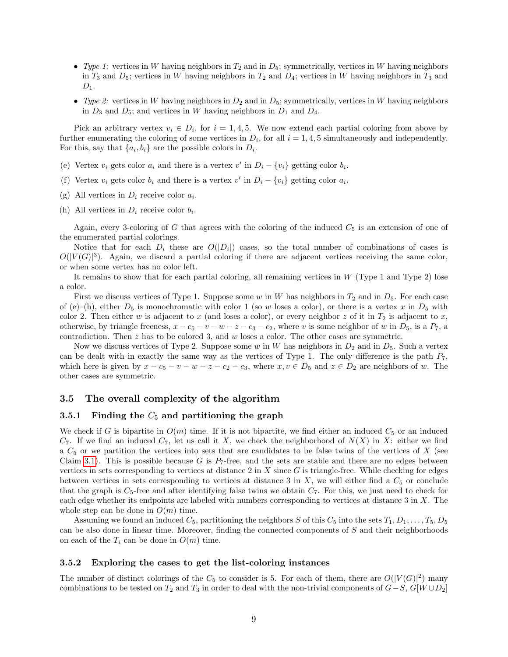- Type 1: vertices in W having neighbors in  $T_2$  and in  $D_5$ ; symmetrically, vertices in W having neighbors in  $T_3$  and  $D_5$ ; vertices in W having neighbors in  $T_2$  and  $D_4$ ; vertices in W having neighbors in  $T_3$  and  $D_1$ .
- Type 2: vertices in W having neighbors in  $D_2$  and in  $D_5$ ; symmetrically, vertices in W having neighbors in  $D_3$  and  $D_5$ ; and vertices in W having neighbors in  $D_1$  and  $D_4$ .

Pick an arbitrary vertex  $v_i \in D_i$ , for  $i = 1, 4, 5$ . We now extend each partial coloring from above by further enumerating the coloring of some vertices in  $D_i$ , for all  $i = 1, 4, 5$  simultaneously and independently. For this, say that  $\{a_i, b_i\}$  are the possible colors in  $D_i$ .

- (e) Vertex  $v_i$  gets color  $a_i$  and there is a vertex  $v'$  in  $D_i \{v_i\}$  getting color  $b_i$ .
- (f) Vertex  $v_i$  gets color  $b_i$  and there is a vertex v' in  $D_i \{v_i\}$  getting color  $a_i$ .
- (g) All vertices in  $D_i$  receive color  $a_i$ .
- (h) All vertices in  $D_i$  receive color  $b_i$ .

Again, every 3-coloring of G that agrees with the coloring of the induced  $C_5$  is an extension of one of the enumerated partial colorings.

Notice that for each  $D_i$  these are  $O(|D_i|)$  cases, so the total number of combinations of cases is  $O(|V(G)|^3)$ . Again, we discard a partial coloring if there are adjacent vertices receiving the same color, or when some vertex has no color left.

It remains to show that for each partial coloring, all remaining vertices in  $W$  (Type 1 and Type 2) lose a color.

First we discuss vertices of Type 1. Suppose some w in W has neighbors in  $T_2$  and in  $D_5$ . For each case of (e)–(h), either  $D_5$  is monochromatic with color 1 (so w loses a color), or there is a vertex x in  $D_5$  with color 2. Then either w is adjacent to x (and loses a color), or every neighbor z of it in  $T_2$  is adjacent to x, otherwise, by triangle freeness,  $x - c_5 - v - w - z - c_3 - c_2$ , where v is some neighbor of w in  $D_5$ , is a  $P_7$ , a contradiction. Then  $z$  has to be colored 3, and  $w$  loses a color. The other cases are symmetric.

Now we discuss vertices of Type 2. Suppose some w in W has neighbors in  $D_2$  and in  $D_5$ . Such a vertex can be dealt with in exactly the same way as the vertices of Type 1. The only difference is the path  $P_7$ , which here is given by  $x - c_5 - v - w - z - c_2 - c_3$ , where  $x, v \in D_5$  and  $z \in D_2$  are neighbors of w. The other cases are symmetric.

### 3.5 The overall complexity of the algorithm

### 3.5.1 Finding the  $C_5$  and partitioning the graph

We check if G is bipartite in  $O(m)$  time. If it is not bipartite, we find either an induced  $C_5$  or an induced  $C_7$ . If we find an induced  $C_7$ , let us call it X, we check the neighborhood of  $N(X)$  in X: either we find a  $C_5$  or we partition the vertices into sets that are candidates to be false twins of the vertices of  $X$  (see Claim [3.1\)](#page-4-0). This is possible because G is  $P_7$ -free, and the sets are stable and there are no edges between vertices in sets corresponding to vertices at distance  $2$  in  $X$  since  $G$  is triangle-free. While checking for edges between vertices in sets corresponding to vertices at distance 3 in  $X$ , we will either find a  $C_5$  or conclude that the graph is  $C_5$ -free and after identifying false twins we obtain  $C_7$ . For this, we just need to check for each edge whether its endpoints are labeled with numbers corresponding to vertices at distance 3 in X. The whole step can be done in  $O(m)$  time.

Assuming we found an induced  $C_5$ , partitioning the neighbors S of this  $C_5$  into the sets  $T_1, D_1, \ldots, T_5, D_5$ can be also done in linear time. Moreover, finding the connected components of  $S$  and their neighborhoods on each of the  $T_i$  can be done in  $O(m)$  time.

### 3.5.2 Exploring the cases to get the list-coloring instances

The number of distinct colorings of the  $C_5$  to consider is 5. For each of them, there are  $O(|V(G)|^2)$  many combinations to be tested on  $T_2$  and  $T_3$  in order to deal with the non-trivial components of  $G-S$ ,  $G[W \cup D_2]$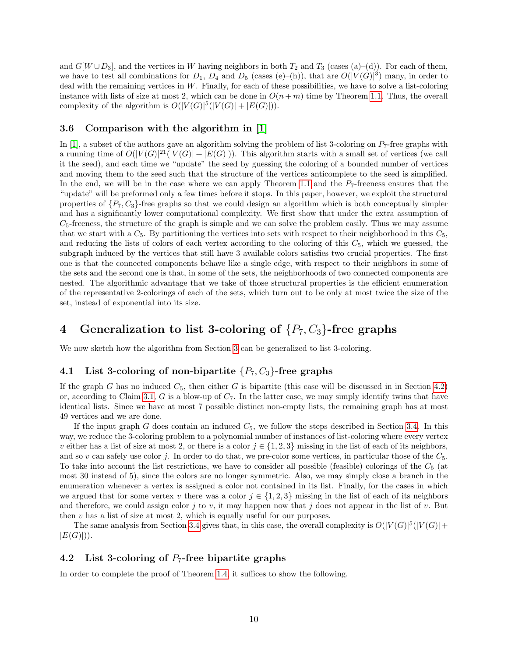and  $G[W \cup D_3]$ , and the vertices in W having neighbors in both  $T_2$  and  $T_3$  (cases (a)–(d)). For each of them, we have to test all combinations for  $D_1$ ,  $D_4$  and  $D_5$  (cases (e)–(h)), that are  $O(|V(G)|^3)$  many, in order to deal with the remaining vertices in  $W$ . Finally, for each of these possibilities, we have to solve a list-coloring instance with lists of size at most 2, which can be done in  $O(n+m)$  time by Theorem [1.1.](#page-1-0) Thus, the overall complexity of the algorithm is  $O(|V(G)|^5(|V(G)|+|E(G)|)).$ 

### 3.6 Comparison with the algorithm in [\[1\]](#page-18-6)

In [\[1\]](#page-18-6), a subset of the authors gave an algorithm solving the problem of list 3-coloring on  $P_7$ -free graphs with a running time of  $O(|V(G)|^2 |(|V(G)| + |E(G)|))$ . This algorithm starts with a small set of vertices (we call it the seed), and each time we "update" the seed by guessing the coloring of a bounded number of vertices and moving them to the seed such that the structure of the vertices anticomplete to the seed is simplified. In the end, we will be in the case where we can apply Theorem [1.1](#page-1-0) and the  $P<sub>7</sub>$ -freeness ensures that the "update" will be preformed only a few times before it stops. In this paper, however, we exploit the structural properties of  $\{P_7, C_3\}$ -free graphs so that we could design an algorithm which is both conceptually simpler and has a significantly lower computational complexity. We first show that under the extra assumption of  $C_5$ -freeness, the structure of the graph is simple and we can solve the problem easily. Thus we may assume that we start with a  $C_5$ . By partitioning the vertices into sets with respect to their neighborhood in this  $C_5$ , and reducing the lists of colors of each vertex according to the coloring of this  $C_5$ , which we guessed, the subgraph induced by the vertices that still have 3 available colors satisfies two crucial properties. The first one is that the connected components behave like a single edge, with respect to their neighbors in some of the sets and the second one is that, in some of the sets, the neighborhoods of two connected components are nested. The algorithmic advantage that we take of those structural properties is the efficient enumeration of the representative 2-colorings of each of the sets, which turn out to be only at most twice the size of the set, instead of exponential into its size.

# <span id="page-9-0"></span>4 Generalization to list 3-coloring of  $\{P_7, C_3\}$ -free graphs

We now sketch how the algorithm from Section [3](#page-3-1) can be generalized to list 3-coloring.

### 4.1 List 3-coloring of non-bipartite  $\{P_7, C_3\}$ -free graphs

If the graph G has no induced  $C_5$ , then either G is bipartite (this case will be discussed in in Section [4.2\)](#page-9-1) or, according to Claim [3.1,](#page-4-0) G is a blow-up of  $C_7$ . In the latter case, we may simply identify twins that have identical lists. Since we have at most 7 possible distinct non-empty lists, the remaining graph has at most 49 vertices and we are done.

If the input graph G does contain an induced  $C_5$ , we follow the steps described in Section [3.4.](#page-6-1) In this way, we reduce the 3-coloring problem to a polynomial number of instances of list-coloring where every vertex v either has a list of size at most 2, or there is a color  $j \in \{1, 2, 3\}$  missing in the list of each of its neighbors, and so v can safely use color j. In order to do that, we pre-color some vertices, in particular those of the  $C_5$ . To take into account the list restrictions, we have to consider all possible (feasible) colorings of the  $C_5$  (at most 30 instead of 5), since the colors are no longer symmetric. Also, we may simply close a branch in the enumeration whenever a vertex is assigned a color not contained in its list. Finally, for the cases in which we argued that for some vertex v there was a color  $j \in \{1, 2, 3\}$  missing in the list of each of its neighbors and therefore, we could assign color j to v, it may happen now that j does not appear in the list of v. But then  $v$  has a list of size at most 2, which is equally useful for our purposes.

The same analysis from Section [3.4](#page-6-1) gives that, in this case, the overall complexity is  $O(|V(G)|^5(|V(G)|+$  $|E(G)|$ ).

### <span id="page-9-1"></span>4.2 List 3-coloring of  $P_7$ -free bipartite graphs

In order to complete the proof of Theorem [1.4,](#page-2-3) it suffices to show the following.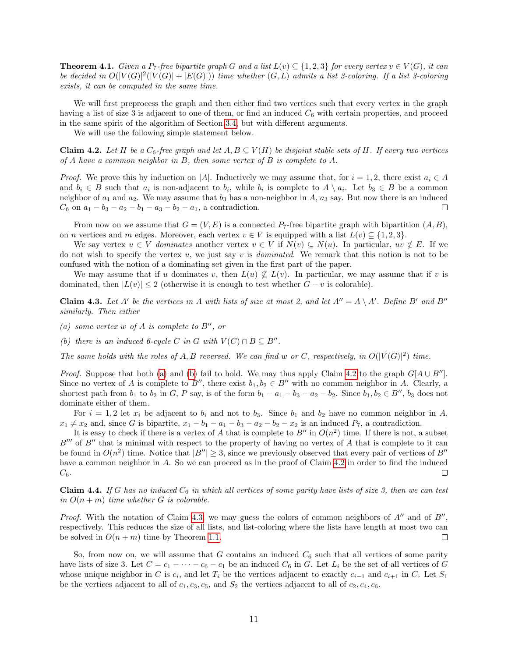<span id="page-10-4"></span>**Theorem 4.1.** Given a P<sub>7</sub>-free bipartite graph G and a list  $L(v) \subseteq \{1, 2, 3\}$  for every vertex  $v \in V(G)$ , it can be decided in  $O(|V(G)|^2(|V(G)| + |E(G)|))$  time whether  $(G, L)$  admits a list 3-coloring. If a list 3-coloring exists, it can be computed in the same time.

We will first preprocess the graph and then either find two vertices such that every vertex in the graph having a list of size 3 is adjacent to one of them, or find an induced  $C_6$  with certain properties, and proceed in the same spirit of the algorithm of Section [3.4,](#page-6-1) but with different arguments.

We will use the following simple statement below.

<span id="page-10-2"></span>**Claim 4.2.** Let H be a  $C_6$ -free graph and let  $A, B \subseteq V(H)$  be disjoint stable sets of H. If every two vertices of A have a common neighbor in B, then some vertex of B is complete to A.

*Proof.* We prove this by induction on |A|. Inductively we may assume that, for  $i = 1, 2$ , there exist  $a_i \in A$ and  $b_i \in B$  such that  $a_i$  is non-adjacent to  $b_i$ , while  $b_i$  is complete to  $A \setminus a_i$ . Let  $b_3 \in B$  be a common neighbor of  $a_1$  and  $a_2$ . We may assume that  $b_3$  has a non-neighbor in A,  $a_3$  say. But now there is an induced  $C_6$  on  $a_1 - b_3 - a_2 - b_1 - a_3 - b_2 - a_1$ , a contradiction.  $\Box$ 

From now on we assume that  $G = (V, E)$  is a connected  $P<sub>7</sub>$ -free bipartitic graph with bipartition  $(A, B)$ , on *n* vertices and *m* edges. Moreover, each vertex  $v \in V$  is equipped with a list  $L(v) \subseteq \{1, 2, 3\}.$ 

We say vertex  $u \in V$  dominates another vertex  $v \in V$  if  $N(v) \subseteq N(u)$ . In particular,  $uv \notin E$ . If we do not wish to specify the vertex  $u$ , we just say v is *dominated*. We remark that this notion is not to be confused with the notion of a dominating set given in the first part of the paper.

We may assume that if u dominates v, then  $L(u) \nsubseteq L(v)$ . In particular, we may assume that if v is dominated, then  $|L(v)| \leq 2$  (otherwise it is enough to test whether  $G - v$  is colorable).

<span id="page-10-3"></span>**Claim 4.3.** Let A' be the vertices in A with lists of size at most 2, and let  $A'' = A \setminus A'$ . Define B' and B'' similarly. Then either

- <span id="page-10-0"></span>(a) some vertex w of A is complete to  $B''$ , or
- <span id="page-10-1"></span>(b) there is an induced 6-cycle C in G with  $V(C) \cap B \subseteq B''$ .

The same holds with the roles of A, B reversed. We can find w or C, respectively, in  $O(|V(G)|^2)$  time.

*Proof.* Suppose that both [\(a\)](#page-10-0) and [\(b\)](#page-10-1) fail to hold. We may thus apply Claim [4.2](#page-10-2) to the graph  $G[A \cup B'']$ . Since no vertex of A is complete to B'', there exist  $b_1, b_2 \in B''$  with no common neighbor in A. Clearly, a shortest path from  $b_1$  to  $b_2$  in G, P say, is of the form  $b_1 - a_1 - b_3 - a_2 - b_2$ . Since  $b_1, b_2 \in B''$ ,  $b_3$  does not dominate either of them.

For  $i = 1, 2$  let  $x_i$  be adjacent to  $b_i$  and not to  $b_3$ . Since  $b_1$  and  $b_2$  have no common neighbor in A,  $x_1 \neq x_2$  and, since G is bipartite,  $x_1 - b_1 - a_1 - b_3 - a_2 - b_2 - x_2$  is an induced  $P_7$ , a contradiction.

It is easy to check if there is a vertex of A that is complete to  $B''$  in  $O(n^2)$  time. If there is not, a subset  $B^{\prime\prime\prime}$  of  $B^{\prime\prime}$  that is minimal with respect to the property of having no vertex of A that is complete to it can be found in  $O(n^2)$  time. Notice that  $|B''| \geq 3$ , since we previously observed that every pair of vertices of  $B''$ have a common neighbor in A. So we can proceed as in the proof of Claim [4.2](#page-10-2) in order to find the induced  $C_6$ .  $\Box$ 

<span id="page-10-5"></span>Claim 4.4. If G has no induced  $C_6$  in which all vertices of some parity have lists of size 3, then we can test in  $O(n+m)$  time whether G is colorable.

*Proof.* With the notation of Claim [4.3,](#page-10-3) we may guess the colors of common neighbors of  $A''$  and of  $B''$ , respectively. This reduces the size of all lists, and list-coloring where the lists have length at most two can be solved in  $O(n+m)$  time by Theorem [1.1.](#page-1-0)  $\Box$ 

So, from now on, we will assume that G contains an induced  $C_6$  such that all vertices of some parity have lists of size 3. Let  $C = c_1 - \cdots - c_6 - c_1$  be an induced  $C_6$  in G. Let  $L_i$  be the set of all vertices of G whose unique neighbor in C is  $c_i$ , and let  $T_i$  be the vertices adjacent to exactly  $c_{i-1}$  and  $c_{i+1}$  in C. Let  $S_1$ be the vertices adjacent to all of  $c_1, c_3, c_5$ , and  $S_2$  the vertices adjacent to all of  $c_2, c_4, c_6$ .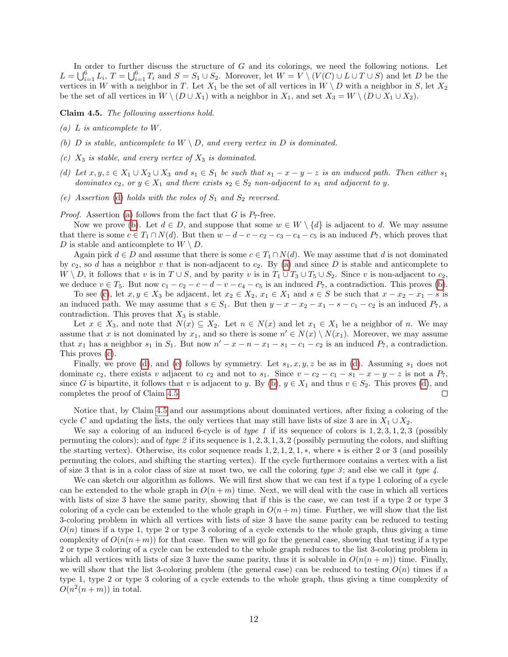In order to further discuss the structure of  $G$  and its colorings, we need the following notions. Let  $L = \bigcup_{i=1}^6 L_i$ ,  $T = \bigcup_{i=1}^6 T_i$  and  $S = S_1 \cup S_2$ . Moreover, let  $W = V \setminus (V(C) \cup L \cup T \cup S)$  and let D be the vertices in W with a neighbor in T. Let  $X_1$  be the set of all vertices in  $W \setminus D$  with a neighbor in S, let  $X_2$ be the set of all vertices in  $W \setminus (D \cup X_1)$  with a neighbor in  $X_1$ , and set  $X_3 = W \setminus (D \cup X_1 \cup X_2)$ .

<span id="page-11-5"></span>Claim 4.5. The following assertions hold.

- <span id="page-11-1"></span>(a) L is anticomplete to  $W$ .
- <span id="page-11-2"></span>(b) D is stable, anticomplete to  $W \setminus D$ , and every vertex in D is dominated.
- <span id="page-11-3"></span>(c)  $X_3$  is stable, and every vertex of  $X_3$  is dominated.
- <span id="page-11-0"></span>(d) Let  $x, y, z \in X_1 \cup X_2 \cup X_3$  and  $s_1 \in S_1$  be such that  $s_1 - x - y - z$  is an induced path. Then either  $s_1$ dominates  $c_2$ , or  $y \in X_1$  and there exists  $s_2 \in S_2$  non-adjacent to  $s_1$  and adjacent to y.
- <span id="page-11-4"></span>(e) Assertion [\(d\)](#page-11-0) holds with the roles of  $S_1$  and  $S_2$  reversed.

*Proof.* Assertion [\(a\)](#page-11-1) follows from the fact that G is  $P_7$ -free.

Now we prove [\(b\)](#page-11-2). Let  $d \in D$ , and suppose that some  $w \in W \setminus \{d\}$  is adjacent to d. We may assume that there is some  $c \in T_1 \cap N(d)$ . But then  $w - d - c - c_2 - c_3 - c_4 - c_5$  is an induced  $P_7$ , which proves that D is stable and anticomplete to  $W \setminus D$ .

Again pick  $d \in D$  and assume that there is some  $c \in T_1 \cap N(d)$ . We may assume that d is not dominated by  $c_2$ , so d has a neighbor v that is non-adjacent to  $c_2$ . By [\(a\)](#page-11-1) and since D is stable and anticomplete to  $W \setminus D$ , it follows that v is in  $T \cup S$ , and by parity v is in  $T_1 \cup T_3 \cup T_5 \cup S_2$ . Since v is non-adjacent to  $c_2$ , we deduce  $v \in T_5$ . But now  $c_1 - c_2 - c - d - v - c_4 - c_5$  is an induced  $P_7$ , a contradiction. This proves [\(b\)](#page-11-2).

To see [\(c\)](#page-11-3), let  $x, y \in X_3$  be adjacent, let  $x_2 \in X_2$ ,  $x_1 \in X_1$  and  $s \in S$  be such that  $x - x_2 - x_1 - s$  is an induced path. We may assume that  $s \in S_1$ . But then  $y - x - x_2 - x_1 - s - c_1 - c_2$  is an induced  $P_7$ , a contradiction. This proves that  $X_3$  is stable.

Let  $x \in X_3$ , and note that  $N(x) \subseteq X_2$ . Let  $n \in N(x)$  and let  $x_1 \in X_1$  be a neighbor of n. We may assume that x is not dominated by  $x_1$ , and so there is some  $n' \in N(x) \setminus N(x_1)$ . Moreover, we may assume that  $x_1$  has a neighbor  $s_1$  in  $S_1$ . But now  $n' - x - n - x_1 - s_1 - c_1 - c_2$  is an induced  $P_7$ , a contradiction. This proves [\(c\)](#page-11-3).

Finally, we prove [\(d\)](#page-11-0), and [\(e\)](#page-11-4) follows by symmetry. Let  $s_1, x, y, z$  be as in (d). Assuming  $s_1$  does not dominate c<sub>2</sub>, there exists v adjacent to c<sub>2</sub> and not to s<sub>1</sub>. Since  $v - c_2 - c_1 - s_1 - x - y - z$  is not a P<sub>7</sub>, since G is bipartite, it follows that v is adjacent to y. By [\(b\)](#page-11-2),  $y \in X_1$  and thus  $v \in S_2$ . This proves [\(d\)](#page-11-0), and completes the proof of Claim [4.5.](#page-11-5)  $\Box$ 

Notice that, by Claim [4.5](#page-11-5) and our assumptions about dominated vertices, after fixing a coloring of the cycle C and updating the lists, the only vertices that may still have lists of size 3 are in  $X_1 \cup X_2$ .

We say a coloring of an induced 6-cycle is of type 1 if its sequence of colors is  $1, 2, 3, 1, 2, 3$  (possibly permuting the colors); and of type 2 if its sequence is  $1, 2, 3, 1, 3, 2$  (possibly permuting the colors, and shifting the starting vertex). Otherwise, its color sequence reads  $1, 2, 1, 2, 1, *$ , where  $*$  is either 2 or 3 (and possibly permuting the colors, and shifting the starting vertex). If the cycle furthermore contains a vertex with a list of size 3 that is in a color class of size at most two, we call the coloring type 3; and else we call it type  $\lambda$ .

We can sketch our algorithm as follows. We will first show that we can test if a type 1 coloring of a cycle can be extended to the whole graph in  $O(n+m)$  time. Next, we will deal with the case in which all vertices with lists of size 3 have the same parity, showing that if this is the case, we can test if a type 2 or type 3 coloring of a cycle can be extended to the whole graph in  $O(n+m)$  time. Further, we will show that the list 3-coloring problem in which all vertices with lists of size 3 have the same parity can be reduced to testing  $O(n)$  times if a type 1, type 2 or type 3 coloring of a cycle extends to the whole graph, thus giving a time complexity of  $O(n(n+m))$  for that case. Then we will go for the general case, showing that testing if a type 2 or type 3 coloring of a cycle can be extended to the whole graph reduces to the list 3-coloring problem in which all vertices with lists of size 3 have the same parity, thus it is solvable in  $O(n(n+m))$  time. Finally, we will show that the list 3-coloring problem (the general case) can be reduced to testing  $O(n)$  times if a type 1, type 2 or type 3 coloring of a cycle extends to the whole graph, thus giving a time complexity of  $O(n^2(n+m))$  in total.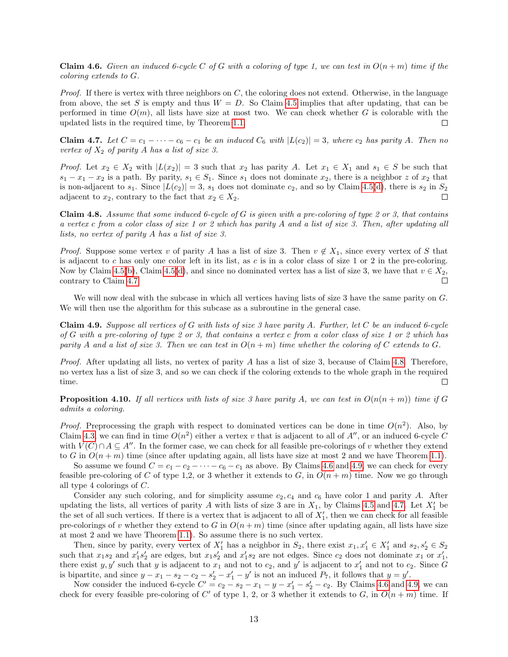<span id="page-12-2"></span>**Claim 4.6.** Given an induced 6-cycle C of G with a coloring of type 1, we can test in  $O(n+m)$  time if the coloring extends to G.

*Proof.* If there is vertex with three neighbors on  $C$ , the coloring does not extend. Otherwise, in the language from above, the set S is empty and thus  $W = D$ . So Claim [4.5](#page-11-5) implies that after updating, that can be performed in time  $O(m)$ , all lists have size at most two. We can check whether G is colorable with the updated lists in the required time, by Theorem [1.1.](#page-1-0)  $\Box$ 

<span id="page-12-0"></span>**Claim 4.7.** Let  $C = c_1 - \cdots - c_6 - c_1$  be an induced  $C_6$  with  $|L(c_2)| = 3$ , where  $c_2$  has parity A. Then no vertex of  $X_2$  of parity A has a list of size 3.

*Proof.* Let  $x_2 \in X_2$  with  $|L(x_2)| = 3$  such that  $x_2$  has parity A. Let  $x_1 \in X_1$  and  $s_1 \in S$  be such that  $s_1 - x_1 - x_2$  is a path. By parity,  $s_1 \in S_1$ . Since  $s_1$  does not dominate  $x_2$ , there is a neighbor z of  $x_2$  that is non-adjacent to  $s_1$ . Since  $|L(c_2)| = 3$ ,  $s_1$  does not dominate  $c_2$ , and so by Claim [4.5\(](#page-11-5)[d\)](#page-11-0), there is  $s_2$  in  $S_2$ adjacent to  $x_2$ , contrary to the fact that  $x_2 \in X_2$ .  $\Box$ 

<span id="page-12-1"></span>**Claim 4.8.** Assume that some induced 6-cycle of G is given with a pre-coloring of type 2 or 3, that contains a vertex c from a color class of size 1 or 2 which has parity A and a list of size 3. Then, after updating all lists, no vertex of parity A has a list of size 3.

*Proof.* Suppose some vertex v of parity A has a list of size 3. Then  $v \notin X_1$ , since every vertex of S that is adjacent to c has only one color left in its list, as c is in a color class of size  $1$  or  $2$  in the pre-coloring. Now by Claim [4.5\(](#page-11-5)[b\)](#page-11-2), Claim 4.5([d\)](#page-11-0), and since no dominated vertex has a list of size 3, we have that  $v \in X_2$ , contrary to Claim [4.7.](#page-12-0)  $\Box$ 

We will now deal with the subcase in which all vertices having lists of size 3 have the same parity on G. We will then use the algorithm for this subcase as a subroutine in the general case.

<span id="page-12-3"></span>**Claim 4.9.** Suppose all vertices of G with lists of size 3 have parity A. Further, let C be an induced 6-cycle of G with a pre-coloring of type 2 or 3, that contains a vertex c from a color class of size 1 or 2 which has parity A and a list of size 3. Then we can test in  $O(n+m)$  time whether the coloring of C extends to G.

Proof. After updating all lists, no vertex of parity A has a list of size 3, because of Claim [4.8.](#page-12-1) Therefore, no vertex has a list of size 3, and so we can check if the coloring extends to the whole graph in the required  $\Box$ time.

<span id="page-12-4"></span>**Proposition 4.10.** If all vertices with lists of size 3 have parity A, we can test in  $O(n(n+m))$  time if G admits a coloring.

*Proof.* Preprocessing the graph with respect to dominated vertices can be done in time  $O(n^2)$ . Also, by Claim [4.3,](#page-10-3) we can find in time  $O(n^2)$  either a vertex v that is adjacent to all of  $A''$ , or an induced 6-cycle C with  $V(C) \cap A \subseteq A''$ . In the former case, we can check for all feasible pre-colorings of v whether they extend to G in  $O(n+m)$  time (since after updating again, all lists have size at most 2 and we have Theorem [1.1\)](#page-1-0).

So assume we found  $C = c_1 - c_2 - \cdots - c_6 - c_1$  as above. By Claims [4.6](#page-12-2) and [4.9,](#page-12-3) we can check for every feasible pre-coloring of C of type 1,2, or 3 whether it extends to G, in  $O(n+m)$  time. Now we go through all type 4 colorings of C.

Consider any such coloring, and for simplicity assume  $c_2, c_4$  and  $c_6$  have color 1 and parity A. After updating the lists, all vertices of parity A with lists of size 3 are in  $X_1$ , by Claims [4.5](#page-11-5) and [4.7.](#page-12-0) Let  $X'_1$  be the set of all such vertices. If there is a vertex that is adjacent to all of  $X'_1$ , then we can check for all feasible pre-colorings of v whether they extend to G in  $O(n+m)$  time (since after updating again, all lists have size at most 2 and we have Theorem [1.1\)](#page-1-0). So assume there is no such vertex.

Then, since by parity, every vertex of  $X'_1$  has a neighbor in  $S_2$ , there exist  $x_1, x'_1 \in X'_1$  and  $s_2, s'_2 \in S_2$ such that  $x_1s_2$  and  $x'_1s'_2$  are edges, but  $x_1s'_2$  and  $x'_1s_2$  are not edges. Since  $c_2$  does not dominate  $x_1$  or  $x'_1$ , there exist y, y' such that y is adjacent to  $x_1$  and not to  $c_2$ , and y' is adjacent to  $x'_1$  and not to  $c_2$ . Since G is bipartite, and since  $y - x_1 - s_2 - c_2 - s_2' - x_1' - y'$  is not an induced  $P_7$ , it follows that  $y = y'$ .

Now consider the induced 6-cycle  $C' = c_2 - s_2 - x_1 - y - x_1' - s_2' - c_2$ . By Claims [4.6](#page-12-2) and [4.9,](#page-12-3) we can check for every feasible pre-coloring of C' of type 1, 2, or 3 whether it extends to G, in  $O(n+m)$  time. If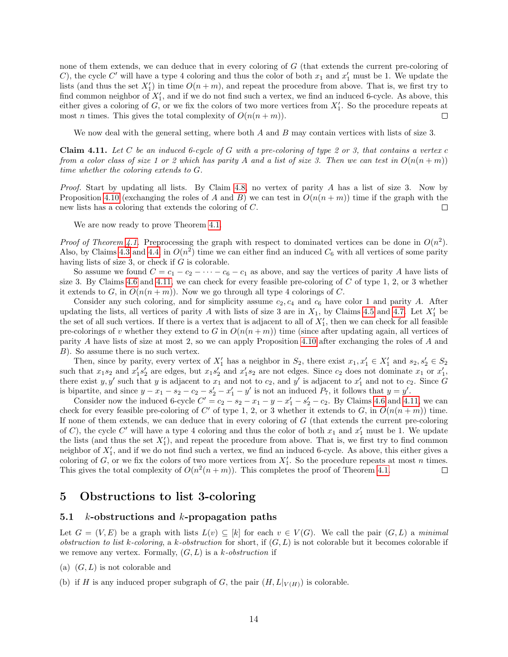none of them extends, we can deduce that in every coloring of G (that extends the current pre-coloring of C), the cycle C' will have a type 4 coloring and thus the color of both  $x_1$  and  $x'_1$  must be 1. We update the lists (and thus the set  $X'_1$ ) in time  $O(n + m)$ , and repeat the procedure from above. That is, we first try to find common neighbor of  $X'_1$ , and if we do not find such a vertex, we find an induced 6-cycle. As above, this either gives a coloring of  $G$ , or we fix the colors of two more vertices from  $X'_1$ . So the procedure repeats at most *n* times. This gives the total complexity of  $O(n(n+m))$ .

We now deal with the general setting, where both  $A$  and  $B$  may contain vertices with lists of size 3.

<span id="page-13-1"></span>**Claim 4.11.** Let C be an induced 6-cycle of G with a pre-coloring of type 2 or 3, that contains a vertex c from a color class of size 1 or 2 which has parity A and a list of size 3. Then we can test in  $O(n(n+m))$ time whether the coloring extends to G.

*Proof.* Start by updating all lists. By Claim [4.8,](#page-12-1) no vertex of parity A has a list of size 3. Now by Proposition [4.10](#page-12-4) (exchanging the roles of A and B) we can test in  $O(n(n+m))$  time if the graph with the new lists has a coloring that extends the coloring of C.  $\Box$ 

We are now ready to prove Theorem [4.1.](#page-10-4)

*Proof of Theorem [4.1.](#page-10-4)* Preprocessing the graph with respect to dominated vertices can be done in  $O(n^2)$ . Also, by Claims [4.3](#page-10-3) and [4.4,](#page-10-5) in  $O(n^2)$  time we can either find an induced  $C_6$  with all vertices of some parity having lists of size 3, or check if  $G$  is colorable.

So assume we found  $C = c_1 - c_2 - \cdots - c_6 - c_1$  as above, and say the vertices of parity A have lists of size 3. By Claims [4.6](#page-12-2) and [4.11,](#page-13-1) we can check for every feasible pre-coloring of  $C$  of type 1, 2, or 3 whether it extends to G, in  $O(n(n+m))$ . Now we go through all type 4 colorings of C.

Consider any such coloring, and for simplicity assume  $c_2, c_4$  and  $c_6$  have color 1 and parity A. After updating the lists, all vertices of parity A with lists of size 3 are in  $X_1$ , by Claims [4.5](#page-11-5) and [4.7.](#page-12-0) Let  $X'_1$  be the set of all such vertices. If there is a vertex that is adjacent to all of  $X'_1$ , then we can check for all feasible pre-colorings of v whether they extend to G in  $O(n(n+m))$  time (since after updating again, all vertices of parity A have lists of size at most 2, so we can apply Proposition [4.10](#page-12-4) after exchanging the roles of A and B). So assume there is no such vertex.

Then, since by parity, every vertex of  $X'_1$  has a neighbor in  $S_2$ , there exist  $x_1, x'_1 \in X'_1$  and  $s_2, s'_2 \in S_2$ such that  $x_1s_2$  and  $x'_1s'_2$  are edges, but  $x_1s'_2$  and  $x'_1s_2$  are not edges. Since  $c_2$  does not dominate  $x_1$  or  $x'_1$ , there exist y, y' such that y is adjacent to  $x_1$  and not to  $c_2$ , and y' is adjacent to  $x'_1$  and not to  $c_2$ . Since G is bipartite, and since  $y - x_1 - s_2 - c_2 - s_2' - x_1' - y'$  is not an induced  $P_7$ , it follows that  $y = y'$ .

Consider now the induced 6-cycle  $C' = c_2 - s_2 - x_1 - y - x_1' - s_2' - c_2$ . By Claims [4.6](#page-12-2) and [4.11,](#page-13-1) we can check for every feasible pre-coloring of C' of type 1, 2, or 3 whether it extends to G, in  $O(n(n+m))$  time. If none of them extends, we can deduce that in every coloring of  $G$  (that extends the current pre-coloring of C), the cycle C' will have a type 4 coloring and thus the color of both  $x_1$  and  $x'_1$  must be 1. We update the lists (and thus the set  $X'_1$ ), and repeat the procedure from above. That is, we first try to find common neighbor of  $X'_1$ , and if we do not find such a vertex, we find an induced 6-cycle. As above, this either gives a coloring of  $G$ , or we fix the colors of two more vertices from  $X'_1$ . So the procedure repeats at most n times. This gives the total complexity of  $O(n^2(n+m))$ . This completes the proof of Theorem [4.1.](#page-10-4)  $\Box$ 

## <span id="page-13-0"></span>5 Obstructions to list 3-coloring

### 5.1 k-obstructions and k-propagation paths

Let  $G = (V, E)$  be a graph with lists  $L(v) \subseteq [k]$  for each  $v \in V(G)$ . We call the pair  $(G, L)$  a minimal obstruction to list k-coloring, a k-obstruction for short, if  $(G, L)$  is not colorable but it becomes colorable if we remove any vertex. Formally,  $(G, L)$  is a k-obstruction if

- (a)  $(G, L)$  is not colorable and
- (b) if H is any induced proper subgraph of G, the pair  $(H, L|_{V(H)})$  is colorable.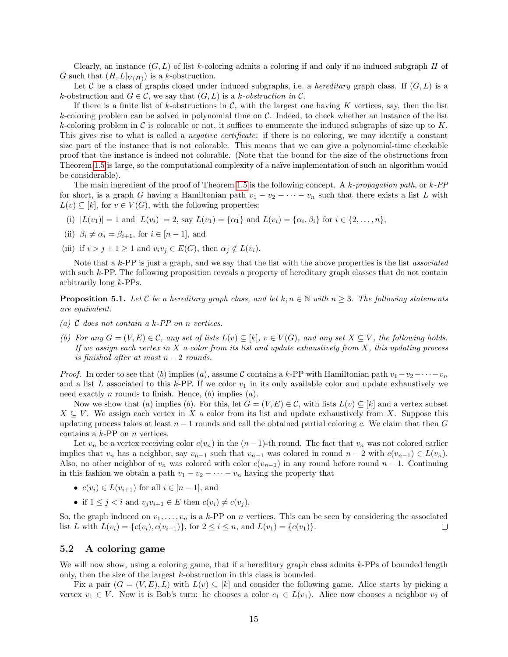Clearly, an instance  $(G, L)$  of list k-coloring admits a coloring if and only if no induced subgraph H of G such that  $(H, L|_{V(H)})$  is a k-obstruction.

Let C be a class of graphs closed under induced subgraphs, i.e. a hereditary graph class. If  $(G, L)$  is a k-obstruction and  $G \in \mathcal{C}$ , we say that  $(G, L)$  is a k-obstruction in  $\mathcal{C}$ .

If there is a finite list of k-obstructions in  $\mathcal{C}$ , with the largest one having K vertices, say, then the list k-coloring problem can be solved in polynomial time on  $\mathcal{C}$ . Indeed, to check whether an instance of the list k-coloring problem in  $\mathcal C$  is colorable or not, it suffices to enumerate the induced subgraphs of size up to  $K$ . This gives rise to what is called a *negative certificate*: if there is no coloring, we may identify a constant size part of the instance that is not colorable. This means that we can give a polynomial-time checkable proof that the instance is indeed not colorable. (Note that the bound for the size of the obstructions from Theorem [1.5](#page-2-1) is large, so the computational complexity of a naïve implementation of such an algorithm would be considerable).

The main ingredient of the proof of Theorem [1.5](#page-2-1) is the following concept. A k-propagation path, or  $k$ -PP for short, is a graph G having a Hamiltonian path  $v_1 - v_2 - \cdots - v_n$  such that there exists a list L with  $L(v) \subseteq [k]$ , for  $v \in V(G)$ , with the following properties:

- (i)  $|L(v_1)| = 1$  and  $|L(v_i)| = 2$ , say  $L(v_1) = {\alpha_1}$  and  $L(v_i) = {\alpha_i, \beta_i}$  for  $i \in \{2, ..., n\}$ ,
- (ii)  $\beta_i \neq \alpha_i = \beta_{i+1}$ , for  $i \in [n-1]$ , and
- (iii) if  $i > j + 1 \geq 1$  and  $v_i v_j \in E(G)$ , then  $\alpha_j \notin L(v_i)$ .

Note that a  $k$ -PP is just a graph, and we say that the list with the above properties is the list *associated* with such k-PP. The following proposition reveals a property of hereditary graph classes that do not contain arbitrarily long k-PPs.

**Proposition 5.1.** Let C be a hereditary graph class, and let  $k, n \in \mathbb{N}$  with  $n \geq 3$ . The following statements are equivalent.

- (a)  $C$  does not contain a k-PP on n vertices.
- (b) For any  $G = (V, E) \in \mathcal{C}$ , any set of lists  $L(v) \subseteq [k]$ ,  $v \in V(G)$ , and any set  $X \subseteq V$ , the following holds. If we assign each vertex in X a color from its list and update exhaustively from X, this updating process is finished after at most  $n-2$  rounds.

*Proof.* In order to see that (b) implies (a), assume C contains a k-PP with Hamiltonian path  $v_1-v_2-\cdots-v_n$ and a list L associated to this k-PP. If we color  $v_1$  in its only available color and update exhaustively we need exactly *n* rounds to finish. Hence,  $(b)$  implies  $(a)$ .

Now we show that (a) implies (b). For this, let  $G = (V, E) \in \mathcal{C}$ , with lists  $L(v) \subseteq [k]$  and a vertex subset  $X \subseteq V$ . We assign each vertex in X a color from its list and update exhaustively from X. Suppose this updating process takes at least  $n-1$  rounds and call the obtained partial coloring c. We claim that then G contains a  $k$ -PP on  $n$  vertices.

Let  $v_n$  be a vertex receiving color  $c(v_n)$  in the  $(n-1)$ -th round. The fact that  $v_n$  was not colored earlier implies that  $v_n$  has a neighbor, say  $v_{n-1}$  such that  $v_{n-1}$  was colored in round  $n-2$  with  $c(v_{n-1}) \in L(v_n)$ . Also, no other neighbor of  $v_n$  was colored with color  $c(v_{n-1})$  in any round before round  $n-1$ . Continuing in this fashion we obtain a path  $v_1 - v_2 - \cdots - v_n$  having the property that

- $c(v_i) \in L(v_{i+1})$  for all  $i \in [n-1]$ , and
- if  $1 \leq j < i$  and  $v_j v_{i+1} \in E$  then  $c(v_i) \neq c(v_j)$ .

So, the graph induced on  $v_1, \ldots, v_n$  is a k-PP on n vertices. This can be seen by considering the associated list L with  $L(v_i) = \{c(v_i), c(v_{i-1})\}$ , for  $2 \leq i \leq n$ , and  $L(v_1) = \{c(v_1)\}.$ П

### 5.2 A coloring game

We will now show, using a coloring game, that if a hereditary graph class admits  $k$ -PPs of bounded length only, then the size of the largest k-obstruction in this class is bounded.

Fix a pair  $(G = (V, E), L)$  with  $L(v) \subseteq [k]$  and consider the following game. Alice starts by picking a vertex  $v_1 \in V$ . Now it is Bob's turn: he chooses a color  $c_1 \in L(v_1)$ . Alice now chooses a neighbor  $v_2$  of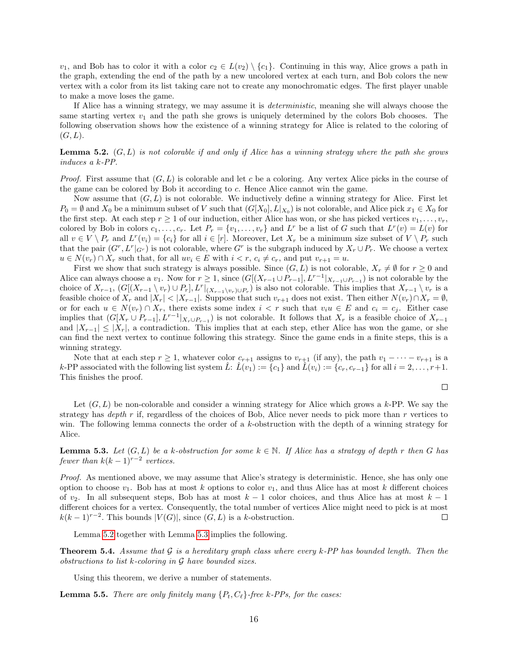$v_1$ , and Bob has to color it with a color  $c_2 \in L(v_2) \setminus \{c_1\}$ . Continuing in this way, Alice grows a path in the graph, extending the end of the path by a new uncolored vertex at each turn, and Bob colors the new vertex with a color from its list taking care not to create any monochromatic edges. The first player unable to make a move loses the game.

If Alice has a winning strategy, we may assume it is deterministic, meaning she will always choose the same starting vertex  $v_1$  and the path she grows is uniquely determined by the colors Bob chooses. The following observation shows how the existence of a winning strategy for Alice is related to the coloring of  $(G, L).$ 

<span id="page-15-0"></span>**Lemma 5.2.**  $(G, L)$  is not colorable if and only if Alice has a winning strategy where the path she grows induces a k-PP.

*Proof.* First assume that  $(G, L)$  is colorable and let c be a coloring. Any vertex Alice picks in the course of the game can be colored by Bob it according to c. Hence Alice cannot win the game.

Now assume that  $(G, L)$  is not colorable. We inductively define a winning strategy for Alice. First let  $P_0 = \emptyset$  and  $X_0$  be a minimum subset of V such that  $(G[X_0], L|_{X_0})$  is not colorable, and Alice pick  $x_1 \in X_0$  for the first step. At each step  $r \geq 1$  of our induction, either Alice has won, or she has picked vertices  $v_1, \ldots, v_r$ , colored by Bob in colors  $c_1, \ldots, c_r$ . Let  $P_r = \{v_1, \ldots, v_r\}$  and  $L^r$  be a list of G such that  $L^r(v) = L(v)$  for all  $v \in V \setminus P_r$  and  $L^r(v_i) = \{c_i\}$  for all  $i \in [r]$ . Moreover, Let  $X_r$  be a minimum size subset of  $V \setminus P_r$  such that the pair  $(G^r, L^r|_{G^r})$  is not colorable, where  $G^r$  is the subgraph induced by  $X_r \cup P_r$ . We choose a vertex  $u \in N(v_r) \cap X_r$  such that, for all  $uv_i \in E$  with  $i < r$ ,  $c_i \neq c_r$ , and put  $v_{r+1} = u$ .

First we show that such strategy is always possible. Since  $(G, L)$  is not colorable,  $X_r \neq \emptyset$  for  $r \geq 0$  and Alice can always choose a  $v_1$ . Now for  $r \geq 1$ , since  $(G[(X_{r-1} \cup P_{r-1}], L^{r-1}|_{X_{r-1} \cup P_{r-1}})$  is not colorable by the choice of  $X_{r-1}$ ,  $(G[(X_{r-1}\setminus v_r)\cup P_r], L^r|_{(X_{r-1}\setminus v_r)\cup P_r})$  is also not colorable. This implies that  $X_{r-1}\setminus v_r$  is a feasible choice of  $X_r$  and  $|X_r| < |X_{r-1}|$ . Suppose that such  $v_{r+1}$  does not exist. Then either  $N(v_r) \cap X_r = \emptyset$ , or for each  $u \in N(v_r) \cap X_r$ , there exists some index  $i < r$  such that  $v_i u \in E$  and  $c_i = c_j$ . Either case implies that  $(G[X_r \cup P_{r-1}], L^{r-1}|_{X_r \cup P_{r-1}})$  is not colorable. It follows that  $X_r$  is a feasible choice of  $X_{r-1}$ and  $|X_{r-1}| \leq |X_r|$ , a contradiction. This implies that at each step, ether Alice has won the game, or she can find the next vertex to continue following this strategy. Since the game ends in a finite steps, this is a winning strategy.

Note that at each step  $r \geq 1$ , whatever color  $c_{r+1}$  assigns to  $v_{r+1}$  (if any), the path  $v_1 - \cdots - v_{r+1}$  is a k-PP associated with the following list system L:  $L(v_1) := \{c_1\}$  and  $L(v_i) := \{c_r, c_{r-1}\}$  for all  $i = 2, \ldots, r+1$ . This finishes the proof.

$$
\Box
$$

Let  $(G, L)$  be non-colorable and consider a winning strategy for Alice which grows a k-PP. We say the strategy has *depth*  $r$  if, regardless of the choices of Bob, Alice never needs to pick more than  $r$  vertices to win. The following lemma connects the order of a k-obstruction with the depth of a winning strategy for Alice.

<span id="page-15-1"></span>**Lemma 5.3.** Let  $(G, L)$  be a k-obstruction for some  $k \in \mathbb{N}$ . If Alice has a strategy of depth r then G has fewer than  $k(k-1)^{r-2}$  vertices.

Proof. As mentioned above, we may assume that Alice's strategy is deterministic. Hence, she has only one option to choose  $v_1$ . Bob has at most k options to color  $v_1$ , and thus Alice has at most k different choices of  $v_2$ . In all subsequent steps, Bob has at most  $k-1$  color choices, and thus Alice has at most  $k-1$ different choices for a vertex. Consequently, the total number of vertices Alice might need to pick is at most  $k(k-1)^{r-2}$ . This bounds  $|V(G)|$ , since  $(G, L)$  is a k-obstruction.  $\Box$ 

Lemma [5.2](#page-15-0) together with Lemma [5.3](#page-15-1) implies the following.

<span id="page-15-3"></span>**Theorem 5.4.** Assume that  $G$  is a hereditary graph class where every  $k$ -PP has bounded length. Then the obstructions to list k-coloring in G have bounded sizes.

Using this theorem, we derive a number of statements.

<span id="page-15-2"></span>**Lemma 5.5.** There are only finitely many  $\{P_t, C_\ell\}$ -free k-PPs, for the cases: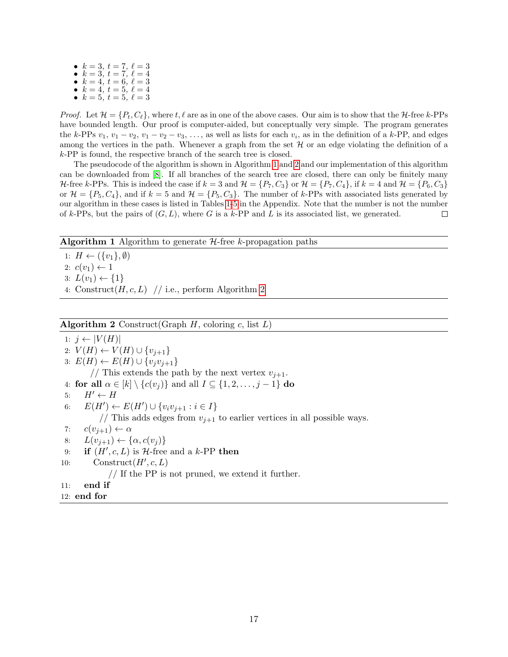\n- $$
k = 3, t = 7, \ell = 3
$$
\n- $k = 3, t = 7, \ell = 4$
\n- $k = 4, t = 6, \ell = 3$
\n- $k = 4, t = 5, \ell = 4$
\n- $k = 5, t = 5, \ell = 3$
\n

*Proof.* Let  $\mathcal{H} = \{P_t, C_\ell\}$ , where  $t, \ell$  are as in one of the above cases. Our aim is to show that the H-free k-PPs have bounded length. Our proof is computer-aided, but conceptually very simple. The program generates the k-PPs  $v_1, v_1 - v_2, v_1 - v_2 - v_3, \ldots$ , as well as lists for each  $v_i$ , as in the definition of a k-PP, and edges among the vertices in the path. Whenever a graph from the set  $\mathcal H$  or an edge violating the definition of a k-PP is found, the respective branch of the search tree is closed.

The pseudocode of the algorithm is shown in Algorithm [1](#page-16-0) and [2](#page-16-1) and our implementation of this algorithm can be downloaded from [\[8\]](#page-18-15). If all branches of the search tree are closed, there can only be finitely many H-free k-PPs. This is indeed the case if  $k = 3$  and  $\mathcal{H} = \{P_7, C_3\}$  or  $\mathcal{H} = \{P_7, C_4\}$ , if  $k = 4$  and  $\mathcal{H} = \{P_6, C_3\}$ or  $\mathcal{H} = \{P_5, C_4\}$ , and if  $k = 5$  and  $\mathcal{H} = \{P_5, C_3\}$ . The number of k-PPs with associated lists generated by our algorithm in these cases is listed in Tables [1-](#page-19-12)[5](#page-20-0) in the Appendix. Note that the number is not the number of k-PPs, but the pairs of  $(G, L)$ , where G is a k-PP and L is its associated list, we generated.  $\Box$ 

### <span id="page-16-0"></span>**Algorithm 1** Algorithm to generate  $H$ -free  $k$ -propagation paths

1:  $H \leftarrow (\{v_1\}, \emptyset)$ 2:  $c(v_1) \leftarrow 1$ 3:  $L(v_1) \leftarrow \{1\}$ 4: Construct $(H, c, L)$  // i.e., perform Algorithm [2](#page-16-1)

### <span id="page-16-1"></span>Algorithm 2 Construct(Graph  $H$ , coloring  $c$ , list  $L$ )

1:  $j \leftarrow |V(H)|$ 2:  $V(H) \leftarrow V(H) \cup \{v_{j+1}\}\$ 3:  $E(H)$  ←  $E(H)$  ∪  $\{v_i v_{i+1}\}$ // This extends the path by the next vertex  $v_{j+1}$ . 4: for all  $\alpha \in [k] \setminus \{c(v_j)\}\$ and all  $I \subseteq \{1, 2, \ldots, j-1\}\$ do 5:  $H' \leftarrow H$ 6:  $E(H') \leftarrow E(H') \cup \{v_i v_{j+1} : i \in I\}$ // This adds edges from  $v_{j+1}$  to earlier vertices in all possible ways. 7:  $c(v_{i+1}) \leftarrow \alpha$ 8:  $L(v_{j+1}) \leftarrow {\alpha, c(v_j)}$ 9: if  $(H', c, L)$  is H-free and a k-PP then 10: Construct $(H', c, L)$ // If the PP is not pruned, we extend it further. 11: end if 12: end for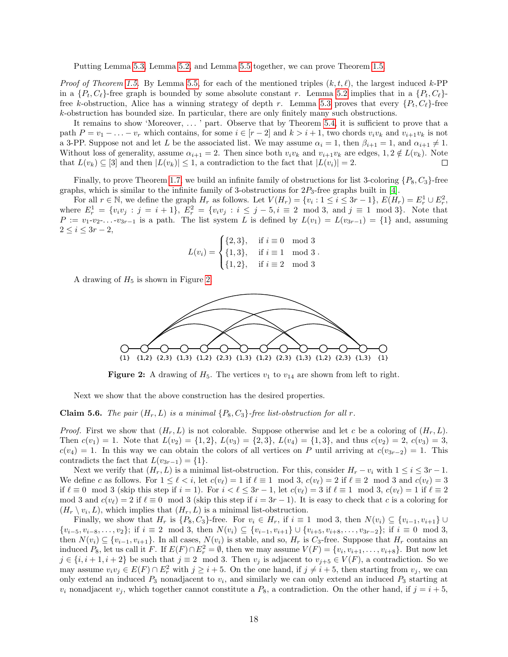Putting Lemma [5.3,](#page-15-1) Lemma [5.2,](#page-15-0) and Lemma [5.5](#page-15-2) together, we can prove Theorem [1.5.](#page-2-1)

*Proof of Theorem [1.5.](#page-2-1)* By Lemma [5.5,](#page-15-2) for each of the mentioned triples  $(k, t, \ell)$ , the largest induced k-PP in a  $\{P_t, C_\ell\}$ -free graph is bounded by some absolute constant r. Lemma [5.2](#page-15-0) implies that in a  $\{P_t, C_\ell\}$ -free k-obstruction, Alice has a winning strategy of depth r. Lemma [5.3](#page-15-1) proves that every  $\{P_t, C_\ell\}$ -free k-obstruction has bounded size. In particular, there are only finitely many such obstructions.

It remains to show 'Moreover, . . . ' part. Observe that by Theorem [5.4,](#page-15-3) it is sufficient to prove that a path  $P = v_1 - \ldots - v_r$  which contains, for some  $i \in [r-2]$  and  $k > i+1$ , two chords  $v_i v_k$  and  $v_{i+1} v_k$  is not a 3-PP. Suppose not and let L be the associated list. We may assume  $\alpha_i = 1$ , then  $\beta_{i+1} = 1$ , and  $\alpha_{i+1} \neq 1$ . Without loss of generality, assume  $\alpha_{i+1} = 2$ . Then since both  $v_i v_k$  and  $v_{i+1}v_k$  are edges,  $1, 2 \notin L(v_k)$ . Note that  $L(v_k) \subseteq [3]$  and then  $|L(v_k)| \leq 1$ , a contradiction to the fact that  $|L(v_i)| = 2$ .  $\Box$ 

Finally, to prove Theorem [1.7,](#page-3-2) we build an infinite family of obstructions for list 3-coloring  $\{P_8, C_3\}$ -free graphs, which is similar to the infinite family of 3-obstructions for  $2P_3$ -free graphs built in [\[4\]](#page-18-14).

For all  $r \in \mathbb{N}$ , we define the graph  $H_r$  as follows. Let  $V(H_r) = \{v_i : 1 \le i \le 3r - 1\}$ ,  $E(H_r) = E_r^1 \cup E_r^2$ , where  $E_r^1 = \{v_i v_j : j = i + 1\}$ ,  $E_r^2 = \{v_i v_j : i \leq j - 5, i \equiv 2 \mod 3, \text{ and } j \equiv 1 \mod 3\}$ . Note that  $P := v_1-v_2-\ldots-v_{3r-1}$  is a path. The list system L is defined by  $L(v_1) = L(v_{3r-1}) = \{1\}$  and, assuming  $2 \leq i \leq 3r-2$ ,

$$
L(v_i) = \begin{cases} \{2,3\}, & \text{if } i \equiv 0 \mod 3 \\ \{1,3\}, & \text{if } i \equiv 1 \mod 3 \\ \{1,2\}, & \text{if } i \equiv 2 \mod 3 \end{cases}
$$

<span id="page-17-0"></span>A drawing of  $H_5$  is shown in Figure [2.](#page-17-0)



**Figure 2:** A drawing of  $H_5$ . The vertices  $v_1$  to  $v_{14}$  are shown from left to right.

Next we show that the above construction has the desired properties.

**Claim 5.6.** The pair  $(H_r, L)$  is a minimal  $\{P_8, C_3\}$ -free list-obstruction for all r.

*Proof.* First we show that  $(H_r, L)$  is not colorable. Suppose otherwise and let c be a coloring of  $(H_r, L)$ . Then  $c(v_1) = 1$ . Note that  $L(v_2) = \{1, 2\}$ ,  $L(v_3) = \{2, 3\}$ ,  $L(v_4) = \{1, 3\}$ , and thus  $c(v_2) = 2$ ,  $c(v_3) = 3$ ,  $c(v_4) = 1$ . In this way we can obtain the colors of all vertices on P until arriving at  $c(v_{3r-2}) = 1$ . This contradicts the fact that  $L(v_{3r-1}) = \{1\}.$ 

Next we verify that  $(H_r, L)$  is a minimal list-obstruction. For this, consider  $H_r - v_i$  with  $1 \leq i \leq 3r - 1$ . We define c as follows. For  $1 \leq \ell < i$ , let  $c(v_\ell) = 1$  if  $\ell \equiv 1 \mod 3$ ,  $c(v_\ell) = 2$  if  $\ell \equiv 2 \mod 3$  and  $c(v_\ell) = 3$ if  $\ell \equiv 0 \mod 3$  (skip this step if  $i = 1$ ). For  $i < \ell \leq 3r - 1$ , let  $c(v_\ell) = 3$  if  $\ell \equiv 1 \mod 3$ ,  $c(v_\ell) = 1$  if  $\ell \equiv 2$ mod 3 and  $c(v_\ell) = 2$  if  $\ell \equiv 0 \mod 3$  (skip this step if  $i = 3r - 1$ ). It is easy to check that c is a coloring for  $(H_r \setminus v_i, L)$ , which implies that  $(H_r, L)$  is a minimal list-obstruction.

Finally, we show that  $H_r$  is  $\{P_8, C_3\}$ -free. For  $v_i \in H_r$ , if  $i \equiv 1 \mod 3$ , then  $N(v_i) \subseteq \{v_{i-1}, v_{i+1}\} \cup$  $\{v_{i-5}, v_{i-8}, \ldots, v_2\}$ ; if  $i \equiv 2 \mod 3$ , then  $N(v_i) \subseteq \{v_{i-1}, v_{i+1}\} \cup \{v_{i+5}, v_{i+8}, \ldots, v_{3r-2}\}$ ; if  $i \equiv 0 \mod 3$ , then  $N(v_i) \subseteq \{v_{i-1}, v_{i+1}\}.$  In all cases,  $N(v_i)$  is stable, and so,  $H_r$  is  $C_3$ -free. Suppose that  $H_r$  contains an induced  $P_8$ , let us call it F. If  $E(F) \cap E_r^2 = \emptyset$ , then we may assume  $V(F) = \{v_i, v_{i+1}, \ldots, v_{i+8}\}$ . But now let  $j \in \{i, i+1, i+2\}$  be such that  $j \equiv 2 \mod 3$ . Then  $v_j$  is adjacent to  $v_{j+5} \in V(F)$ , a contradiction. So we may assume  $v_i v_j \in E(F) \cap E_r^2$  with  $j \geq i + 5$ . On the one hand, if  $j \neq i + 5$ , then starting from  $v_j$ , we can only extend an induced  $P_3$  nonadjacent to  $v_i$ , and similarly we can only extend an induced  $P_3$  starting at  $v_i$  nonadjacent  $v_j$ , which together cannot constitute a  $P_8$ , a contradiction. On the other hand, if  $j = i + 5$ ,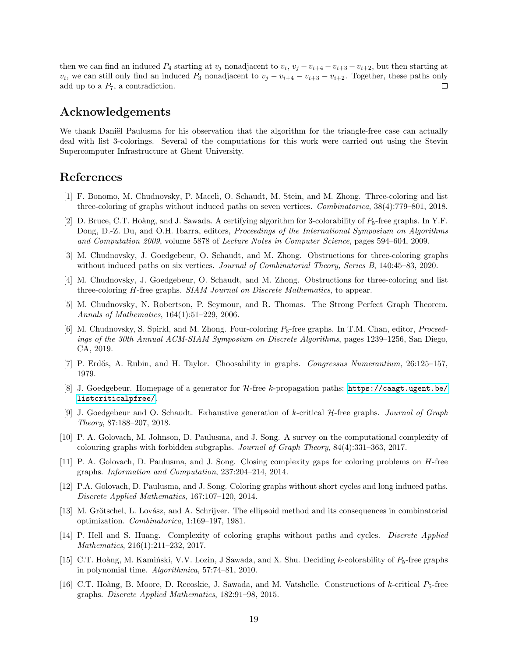then we can find an induced  $P_4$  starting at  $v_j$  nonadjacent to  $v_i$ ,  $v_j - v_{i+4} - v_{i+3} - v_{i+2}$ , but then starting at  $v_i$ , we can still only find an induced  $P_3$  nonadjacent to  $v_j - v_{i+4} - v_{i+3} - v_{i+2}$ . Together, these paths only add up to a  $P_7$ , a contradiction.  $\Box$ 

# Acknowledgements

We thank Daniël Paulusma for his observation that the algorithm for the triangle-free case can actually deal with list 3-colorings. Several of the computations for this work were carried out using the Stevin Supercomputer Infrastructure at Ghent University.

# References

- <span id="page-18-6"></span>[1] F. Bonomo, M. Chudnovsky, P. Maceli, O. Schaudt, M. Stein, and M. Zhong. Three-coloring and list three-coloring of graphs without induced paths on seven vertices. Combinatorica, 38(4):779–801, 2018.
- <span id="page-18-9"></span>[2] D. Bruce, C.T. Hoàng, and J. Sawada. A certifying algorithm for 3-colorability of  $P_5$ -free graphs. In Y.F. Dong, D.-Z. Du, and O.H. Ibarra, editors, *Proceedings of the International Symposium on Algorithms* and Computation 2009, volume 5878 of Lecture Notes in Computer Science, pages 594–604, 2009.
- <span id="page-18-12"></span>[3] M. Chudnovsky, J. Goedgebeur, O. Schaudt, and M. Zhong. Obstructions for three-coloring graphs without induced paths on six vertices. Journal of Combinatorial Theory, Series B, 140:45–83, 2020.
- <span id="page-18-14"></span>[4] M. Chudnovsky, J. Goedgebeur, O. Schaudt, and M. Zhong. Obstructions for three-coloring and list three-coloring H-free graphs. SIAM Journal on Discrete Mathematics, to appear.
- <span id="page-18-2"></span>[5] M. Chudnovsky, N. Robertson, P. Seymour, and R. Thomas. The Strong Perfect Graph Theorem. Annals of Mathematics, 164(1):51–229, 2006.
- <span id="page-18-5"></span>[6] M. Chudnovsky, S. Spirkl, and M. Zhong. Four-coloring  $P_6$ -free graphs. In T.M. Chan, editor, *Proceed*ings of the 30th Annual ACM-SIAM Symposium on Discrete Algorithms, pages 1239–1256, San Diego, CA, 2019.
- <span id="page-18-0"></span>[7] P. Erdős, A. Rubin, and H. Taylor. Choosability in graphs. Congressus Numerantium, 26:125–157, 1979.
- <span id="page-18-15"></span>[8] J. Goedgebeur. Homepage of a generator for H-free k-propagation paths: [https://caagt.ugent.be/](https://caagt.ugent.be/listcriticalpfree/) [listcriticalpfree/](https://caagt.ugent.be/listcriticalpfree/).
- <span id="page-18-13"></span>[9] J. Goedgebeur and O. Schaudt. Exhaustive generation of k-critical H-free graphs. Journal of Graph Theory, 87:188–207, 2018.
- <span id="page-18-8"></span>[10] P. A. Golovach, M. Johnson, D. Paulusma, and J. Song. A survey on the computational complexity of colouring graphs with forbidden subgraphs. Journal of Graph Theory, 84(4):331–363, 2017.
- <span id="page-18-3"></span>[11] P. A. Golovach, D. Paulusma, and J. Song. Closing complexity gaps for coloring problems on H-free graphs. Information and Computation, 237:204–214, 2014.
- <span id="page-18-11"></span>[12] P.A. Golovach, D. Paulusma, and J. Song. Coloring graphs without short cycles and long induced paths. Discrete Applied Mathematics, 167:107–120, 2014.
- <span id="page-18-1"></span>[13] M. Grötschel, L. Lovász, and A. Schrijver. The ellipsoid method and its consequences in combinatorial optimization. Combinatorica, 1:169–197, 1981.
- <span id="page-18-7"></span>[14] P. Hell and S. Huang. Complexity of coloring graphs without paths and cycles. Discrete Applied Mathematics, 216(1):211–232, 2017.
- <span id="page-18-4"></span>[15] C.T. Hoàng, M. Kamiński, V.V. Lozin, J Sawada, and X. Shu. Deciding k-colorability of  $P_5$ -free graphs in polynomial time. Algorithmica, 57:74–81, 2010.
- <span id="page-18-10"></span>[16] C.T. Hoàng, B. Moore, D. Recoskie, J. Sawada, and M. Vatshelle. Constructions of k-critical  $P_5$ -free graphs. Discrete Applied Mathematics, 182:91–98, 2015.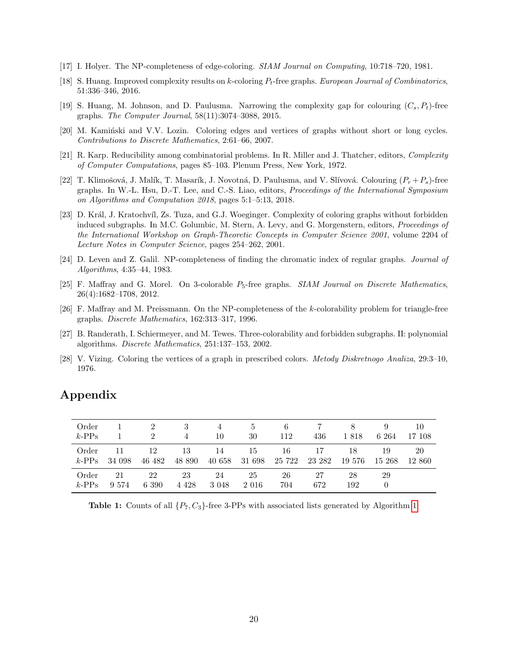- <span id="page-19-5"></span>[17] I. Holyer. The NP-completeness of edge-coloring. SIAM Journal on Computing, 10:718–720, 1981.
- <span id="page-19-7"></span>[18] S. Huang. Improved complexity results on  $k$ -coloring  $P_t$ -free graphs. European Journal of Combinatorics, 51:336–346, 2016.
- <span id="page-19-11"></span>[19] S. Huang, M. Johnson, and D. Paulusma. Narrowing the complexity gap for colouring  $(C_s, P_t)$ -free graphs. The Computer Journal, 58(11):3074–3088, 2015.
- <span id="page-19-3"></span>[20] M. Kaminski and V.V. Lozin. Coloring edges and vertices of graphs without short or long cycles. Contributions to Discrete Mathematics, 2:61–66, 2007.
- <span id="page-19-0"></span>[21] R. Karp. Reducibility among combinatorial problems. In R. Miller and J. Thatcher, editors, Complexity of Computer Computations, pages 85–103. Plenum Press, New York, 1972.
- <span id="page-19-8"></span>[22] T. Klimošová, J. Malík, T. Masarík, J. Novotná, D. Paulusma, and V. Slívová. Colouring  $(P_r + P_s)$ -free graphs. In W.-L. Hsu, D.-T. Lee, and C.-S. Liao, editors, Proceedings of the International Symposium on Algorithms and Computation 2018, pages 5:1–5:13, 2018.
- <span id="page-19-4"></span>[23] D. Král, J. Kratochvíl, Zs. Tuza, and G.J. Woeginger. Complexity of coloring graphs without forbidden induced subgraphs. In M.C. Golumbic, M. Stern, A. Levy, and G. Morgenstern, editors, Proceedings of the International Workshop on Graph-Theoretic Concepts in Computer Science 2001, volume 2204 of Lecture Notes in Computer Science, pages 254–262, 2001.
- <span id="page-19-6"></span>[24] D. Leven and Z. Galil. NP-completeness of finding the chromatic index of regular graphs. Journal of Algorithms, 4:35–44, 1983.
- <span id="page-19-9"></span>[25] F. Maffray and G. Morel. On 3-colorable  $P_5$ -free graphs. *SIAM Journal on Discrete Mathematics*, 26(4):1682–1708, 2012.
- <span id="page-19-1"></span>[26] F. Maffray and M. Preissmann. On the NP-completeness of the k-colorability problem for triangle-free graphs. Discrete Mathematics, 162:313–317, 1996.
- <span id="page-19-10"></span>[27] B. Randerath, I. Schiermeyer, and M. Tewes. Three-colorability and forbidden subgraphs. II: polynomial algorithms. Discrete Mathematics, 251:137–153, 2002.
- <span id="page-19-2"></span>[28] V. Vizing. Coloring the vertices of a graph in prescribed colors. Metody Diskretnogo Analiza, 29:3–10, 1976.

<span id="page-19-12"></span>

| Order<br>$k$ -PPs |              |              | $\overline{4}$ | 4<br>10       | 5.<br>30     | 6<br>112     | 436          | 1818         | 6 264        | 10<br>17 108 |
|-------------------|--------------|--------------|----------------|---------------|--------------|--------------|--------------|--------------|--------------|--------------|
| Order<br>$k$ -PPs | 11<br>34 098 | 12<br>46 482 | 13<br>48 890   | 14<br>40 658  | 15<br>31 698 | 16<br>25 722 | 17<br>23 282 | 18<br>19 576 | 19<br>15 268 | 20<br>12 860 |
| Order<br>$k$ -PPs | 21<br>9574   | 22<br>6 390  | 23<br>4 4 2 8  | 24<br>3 0 4 8 | 25<br>2016   | 26<br>704    | 27<br>672    | 28<br>192    | 29           |              |

# Appendix

**Table 1:** Counts of all  $\{P_7, C_3\}$ -free 3-PPs with associated lists generated by Algorithm [1.](#page-16-0)